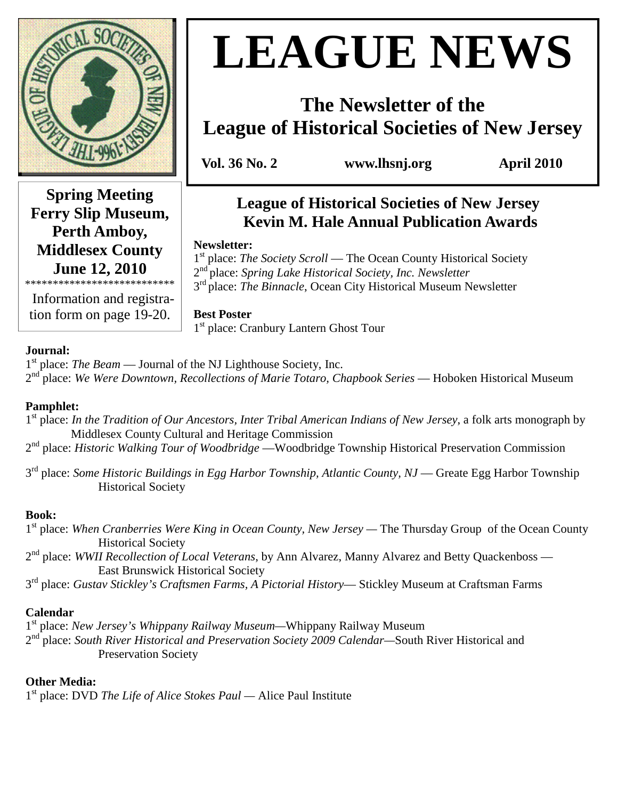

**Spring Meeting Ferry Slip Museum, Perth Amboy, Middlesex County June 12, 2010** 

\*\*\*\*\*\*\*\*\*\*\*\*\*\*\*\*\*\*\*\*\*\*\*\*\*\*\* Information and registration form on page 19-20.

# **LEAGUE NEWS**

# **The Newsletter of the League of Historical Societies of New Jersey**

 **Vol. 36 No. 2 www.lhsnj.org April 2010** 

## **League of Historical Societies of New Jersey Kevin M. Hale Annual Publication Awards**

#### **Newsletter:**

1<sup>st</sup> place: *The Society Scroll* — The Ocean County Historical Society 2 nd place: *Spring Lake Historical Society, Inc. Newsletter* 3<sup>rd</sup> place: *The Binnacle*, Ocean City Historical Museum Newsletter

## **Best Poster**

1 st place: Cranbury Lantern Ghost Tour

#### **Journal:**

1<sup>st</sup> place: *The Beam* — Journal of the NJ Lighthouse Society, Inc. 2<sup>nd</sup> place: *We Were Downtown, Recollections of Marie Totaro, Chapbook Series* — Hoboken Historical Museum

#### **Pamphlet:**

- 1<sup>st</sup> place: *In the Tradition of Our Ancestors, Inter Tribal American Indians of New Jersey*, a folk arts monograph by Middlesex County Cultural and Heritage Commission
- 2 nd place: *Historic Walking Tour of Woodbridge* —Woodbridge Township Historical Preservation Commission
- 3<sup>rd</sup> place: *Some Historic Buildings in Egg Harbor Township, Atlantic County, NJ* Greate Egg Harbor Township Historical Society

#### **Book:**

- 1<sup>st</sup> place: When Cranberries Were King in Ocean County, New Jersey The Thursday Group of the Ocean County Historical Society
- 2<sup>nd</sup> place: *WWII Recollection of Local Veterans*, by Ann Alvarez, Manny Alvarez and Betty Quackenboss East Brunswick Historical Society
- 3 rd place: *Gustav Stickley's Craftsmen Farms, A Pictorial History* Stickley Museum at Craftsman Farms

#### **Calendar**

1 st place: *New Jersey's Whippany Railway Museum—*Whippany Railway Museum 2<sup>nd</sup> place: *South River Historical and Preservation Society 2009 Calendar—South River Historical and* Preservation Society

#### **Other Media:**

1 st place: DVD *The Life of Alice Stokes Paul —* Alice Paul Institute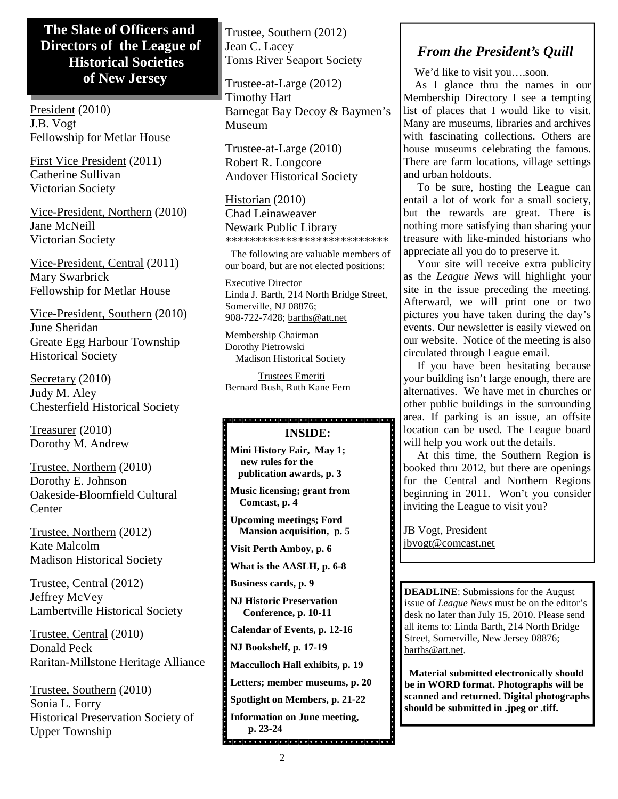## **The Slate of Officers and Directors of the League of Historical Societies of New Jersey**

President (2010) J.B. Vogt Fellowship for Metlar House

First Vice President (2011) Catherine Sullivan Victorian Society

Vice-President, Northern (2010) Jane McNeill Victorian Society

Vice-President, Central (2011) Mary Swarbrick Fellowship for Metlar House

Vice-President, Southern (2010) June Sheridan Greate Egg Harbour Township Historical Society

Secretary (2010) Judy M. Aley Chesterfield Historical Society

Treasurer (2010) Dorothy M. Andrew

Trustee, Northern (2010) Dorothy E. Johnson Oakeside-Bloomfield Cultural **Center** 

Trustee, Northern (2012) Kate Malcolm Madison Historical Society

Trustee, Central (2012) Jeffrey McVey Lambertville Historical Society

Trustee, Central (2010) Donald Peck Raritan-Millstone Heritage Alliance

Trustee, Southern (2010) Sonia L. Forry Historical Preservation Society of Upper Township

Trustee, Southern (2012) Jean C. Lacey Toms River Seaport Society

Trustee-at-Large (2012) Timothy Hart Barnegat Bay Decoy & Baymen's Museum

Trustee-at-Large (2010) Robert R. Longcore Andover Historical Society

Historian (2010)

Chad Leinaweaver Newark Public Library \*\*\*\*\*\*\*\*\*\*\*\*\*\*\*\*\*\*\*\*\*\*\*\*\*\*\*

 The following are valuable members of our board, but are not elected positions:

Executive Director Linda J. Barth, 214 North Bridge Street, Somerville, NJ 08876; 908-722-7428; barths@att.net

Membership Chairman Dorothy Pietrowski Madison Historical Society

 Trustees Emeriti Bernard Bush, Ruth Kane Fern

## **INSIDE:**

**Mini History Fair, May 1; new rules for the publication awards, p. 3** 

**Music licensing; grant from Comcast, p. 4** 

**Upcoming meetings; Ford Mansion acquisition, p. 5** 

**Visit Perth Amboy, p. 6** 

**What is the AASLH, p. 6-8** 

**Business cards, p. 9** 

**NJ Historic Preservation Conference, p. 10-11** 

**Calendar of Events, p. 12-16** 

**NJ Bookshelf, p. 17-19** 

**Macculloch Hall exhibits, p. 19** 

**Letters; member museums, p. 20** 

**Spotlight on Members, p. 21-22** 

**Information on June meeting, p. 23-24** 

## *From the President's Quill*

We'd like to visit you….soon.

 As I glance thru the names in our Membership Directory I see a tempting list of places that I would like to visit. Many are museums, libraries and archives with fascinating collections. Others are house museums celebrating the famous. There are farm locations, village settings and urban holdouts.

 To be sure, hosting the League can entail a lot of work for a small society, but the rewards are great. There is nothing more satisfying than sharing your treasure with like-minded historians who appreciate all you do to preserve it.

 Your site will receive extra publicity as the *League News* will highlight your site in the issue preceding the meeting. Afterward, we will print one or two pictures you have taken during the day's events. Our newsletter is easily viewed on our website. Notice of the meeting is also circulated through League email.

 If you have been hesitating because your building isn't large enough, there are alternatives. We have met in churches or other public buildings in the surrounding area. If parking is an issue, an offsite location can be used. The League board will help you work out the details.

 At this time, the Southern Region is booked thru 2012, but there are openings for the Central and Northern Regions beginning in 2011. Won't you consider inviting the League to visit you?

JB Vogt, President jbvogt@comcast.net

**DEADLINE**: Submissions for the August issue of *League News* must be on the editor's desk no later than July 15, 2010. Please send all items to: Linda Barth, 214 North Bridge Street, Somerville, New Jersey 08876; barths@att.net.

 **Material submitted electronically should be in WORD format. Photographs will be scanned and returned. Digital photographs should be submitted in .jpeg or .tiff.**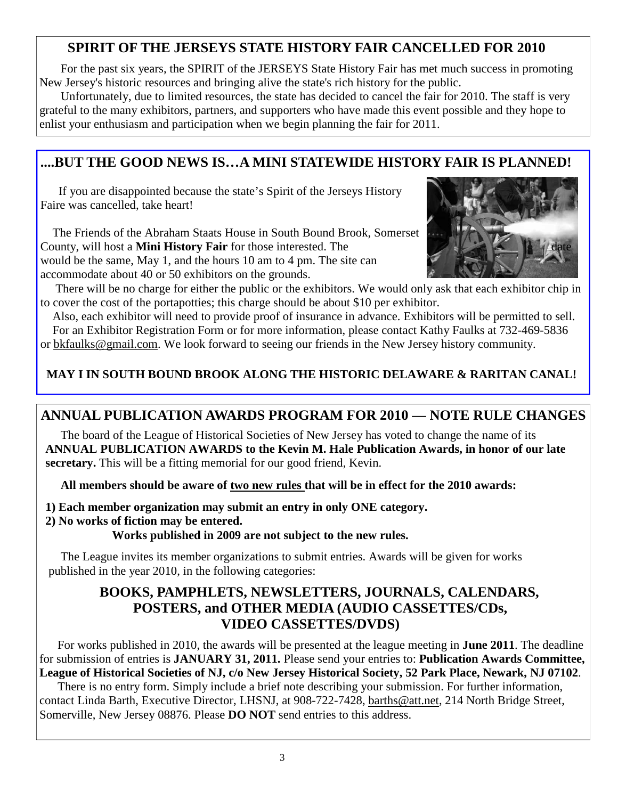## **SPIRIT OF THE JERSEYS STATE HISTORY FAIR CANCELLED FOR 2010**

 For the past six years, the SPIRIT of the JERSEYS State History Fair has met much success in promoting New Jersey's historic resources and bringing alive the state's rich history for the public.

 Unfortunately, due to limited resources, the state has decided to cancel the fair for 2010. The staff is very grateful to the many exhibitors, partners, and supporters who have made this event possible and they hope to enlist your enthusiasm and participation when we begin planning the fair for 2011.

## **....BUT THE GOOD NEWS IS…A MINI STATEWIDE HISTORY FAIR IS PLANNED!**

 If you are disappointed because the state's Spirit of the Jerseys History Faire was cancelled, take heart!

 The Friends of the Abraham Staats House in South Bound Brook, Somerset County, will host a **Mini History Fair** for those interested. The would be the same, May 1, and the hours 10 am to 4 pm. The site can accommodate about 40 or 50 exhibitors on the grounds.



 There will be no charge for either the public or the exhibitors. We would only ask that each exhibitor chip in to cover the cost of the portapotties; this charge should be about \$10 per exhibitor.

 Also, each exhibitor will need to provide proof of insurance in advance. Exhibitors will be permitted to sell. For an Exhibitor Registration Form or for more information, please contact Kathy Faulks at 732-469-5836 or bkfaulks@gmail.com. We look forward to seeing our friends in the New Jersey history community.

## **MAY I IN SOUTH BOUND BROOK ALONG THE HISTORIC DELAWARE & RARITAN CANAL!**

## **ANNUAL PUBLICATION AWARDS PROGRAM FOR 2010 — NOTE RULE CHANGES**

 The board of the League of Historical Societies of New Jersey has voted to change the name of its  **ANNUAL PUBLICATION AWARDS to the Kevin M. Hale Publication Awards, in honor of our late secretary.** This will be a fitting memorial for our good friend, Kevin.

 **All members should be aware of two new rules that will be in effect for the 2010 awards:** 

- **1) Each member organization may submit an entry in only ONE category.**
- **2) No works of fiction may be entered.**

 **Works published in 2009 are not subject to the new rules.** 

The League invites its member organizations to submit entries. Awards will be given for works published in the year 2010, in the following categories:

## **BOOKS, PAMPHLETS, NEWSLETTERS, JOURNALS, CALENDARS, POSTERS, and OTHER MEDIA (AUDIO CASSETTES/CDs, VIDEO CASSETTES/DVDS)**

 For works published in 2010, the awards will be presented at the league meeting in **June 2011**. The deadline for submission of entries is **JANUARY 31, 2011.** Please send your entries to: **Publication Awards Committee, League of Historical Societies of NJ, c/o New Jersey Historical Society, 52 Park Place, Newark, NJ 07102**.

 There is no entry form. Simply include a brief note describing your submission. For further information, contact Linda Barth, Executive Director, LHSNJ, at 908-722-7428, barths@att.net, 214 North Bridge Street, Somerville, New Jersey 08876. Please **DO NOT** send entries to this address.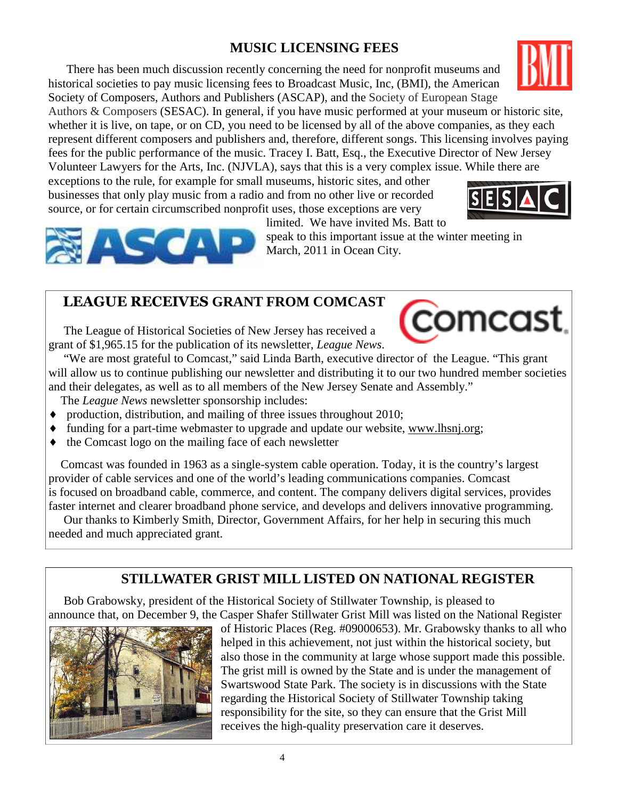## **MUSIC LICENSING FEES**

 There has been much discussion recently concerning the need for nonprofit museums and historical societies to pay music licensing fees to Broadcast Music, Inc, (BMI), the American Society of Composers, Authors and Publishers (ASCAP), and the Society of European Stage

Authors & Composers (SESAC). In general, if you have music performed at your museum or historic site, whether it is live, on tape, or on CD, you need to be licensed by all of the above companies, as they each represent different composers and publishers and, therefore, different songs. This licensing involves paying fees for the public performance of the music. Tracey I. Batt, Esq., the Executive Director of New Jersey Volunteer Lawyers for the Arts, Inc. (NJVLA), says that this is a very complex issue. While there are

exceptions to the rule, for example for small museums, historic sites, and other businesses that only play music from a radio and from no other live or recorded source, or for certain circumscribed nonprofit uses, those exceptions are very

limited. We have invited Ms. Batt to

speak to this important issue at the winter meeting in March, 2011 in Ocean City.

## LEAGUE RECEIVES **GRANT FROM COMCAST**

 The League of Historical Societies of New Jersey has received a grant of \$1,965.15 for the publication of its newsletter, *League News*.

 "We are most grateful to Comcast," said Linda Barth, executive director of the League. "This grant will allow us to continue publishing our newsletter and distributing it to our two hundred member societies and their delegates, as well as to all members of the New Jersey Senate and Assembly."

The *League News* newsletter sponsorship includes:

- $\bullet$  production, distribution, and mailing of three issues throughout 2010;
- funding for a part-time webmaster to upgrade and update our website, www.lhsnj.org;
- the Comcast logo on the mailing face of each newsletter

 Comcast was founded in 1963 as a single-system cable operation. Today, it is the country's largest provider of cable services and one of the world's leading communications companies. Comcast is focused on broadband cable, commerce, and content. The company delivers digital services, provides faster internet and clearer broadband phone service, and develops and delivers innovative programming.

 Our thanks to Kimberly Smith, Director, Government Affairs, for her help in securing this much needed and much appreciated grant.

## **STILLWATER GRIST MILL LISTED ON NATIONAL REGISTER**

Bob Grabowsky, president of the Historical Society of Stillwater Township, is pleased to announce that, on December 9, the Casper Shafer Stillwater Grist Mill was listed on the National Register

 of Historic Places (Reg. #09000653). Mr. Grabowsky thanks to all who helped in this achievement, not just within the historical society, but also those in the community at large whose support made this possible. The grist mill is owned by the State and is under the management of Swartswood State Park. The society is in discussions with the State regarding the Historical Society of Stillwater Township taking responsibility for the site, so they can ensure that the Grist Mill receives the high-quality preservation care it deserves.







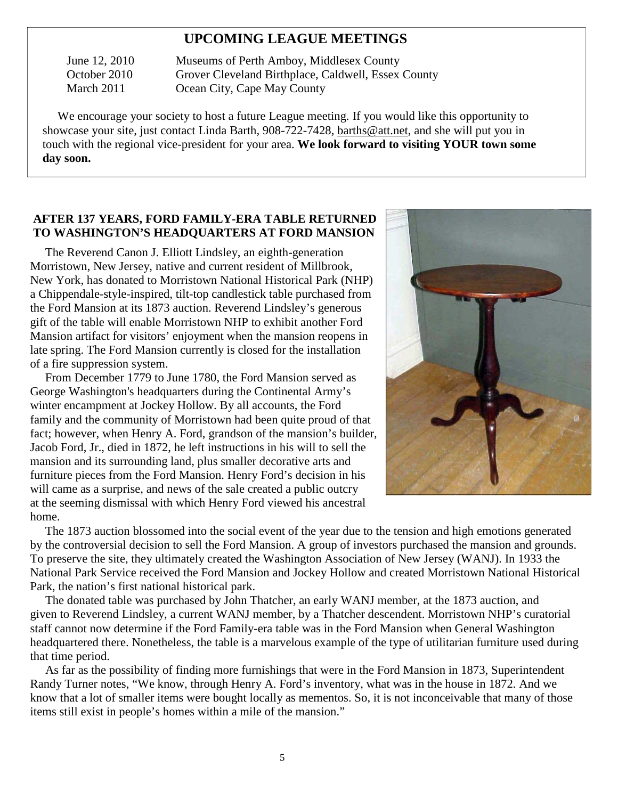## **UPCOMING LEAGUE MEETINGS**

 June 12, 2010 Museums of Perth Amboy, Middlesex County October 2010 Grover Cleveland Birthplace, Caldwell, Essex County March 2011 **Ocean City, Cape May County** 

 We encourage your society to host a future League meeting. If you would like this opportunity to showcase your site, just contact Linda Barth, 908-722-7428, barths@att.net, and she will put you in touch with the regional vice-president for your area. **We look forward to visiting YOUR town some day soon.** 

#### **AFTER 137 YEARS, FORD FAMILY-ERA TABLE RETURNED TO WASHINGTON'S HEADQUARTERS AT FORD MANSION**

 The Reverend Canon J. Elliott Lindsley, an eighth-generation Morristown, New Jersey, native and current resident of Millbrook, New York, has donated to Morristown National Historical Park (NHP) a Chippendale-style-inspired, tilt-top candlestick table purchased from the Ford Mansion at its 1873 auction. Reverend Lindsley's generous gift of the table will enable Morristown NHP to exhibit another Ford Mansion artifact for visitors' enjoyment when the mansion reopens in late spring. The Ford Mansion currently is closed for the installation of a fire suppression system.

 From December 1779 to June 1780, the Ford Mansion served as George Washington's headquarters during the Continental Army's winter encampment at Jockey Hollow. By all accounts, the Ford family and the community of Morristown had been quite proud of that fact; however, when Henry A. Ford, grandson of the mansion's builder, Jacob Ford, Jr., died in 1872, he left instructions in his will to sell the mansion and its surrounding land, plus smaller decorative arts and furniture pieces from the Ford Mansion. Henry Ford's decision in his will came as a surprise, and news of the sale created a public outcry at the seeming dismissal with which Henry Ford viewed his ancestral home.



 The 1873 auction blossomed into the social event of the year due to the tension and high emotions generated by the controversial decision to sell the Ford Mansion. A group of investors purchased the mansion and grounds. To preserve the site, they ultimately created the Washington Association of New Jersey (WANJ). In 1933 the National Park Service received the Ford Mansion and Jockey Hollow and created Morristown National Historical Park, the nation's first national historical park.

 The donated table was purchased by John Thatcher, an early WANJ member, at the 1873 auction, and given to Reverend Lindsley, a current WANJ member, by a Thatcher descendent. Morristown NHP's curatorial staff cannot now determine if the Ford Family-era table was in the Ford Mansion when General Washington headquartered there. Nonetheless, the table is a marvelous example of the type of utilitarian furniture used during that time period.

 As far as the possibility of finding more furnishings that were in the Ford Mansion in 1873, Superintendent Randy Turner notes, "We know, through Henry A. Ford's inventory, what was in the house in 1872. And we know that a lot of smaller items were bought locally as mementos. So, it is not inconceivable that many of those items still exist in people's homes within a mile of the mansion."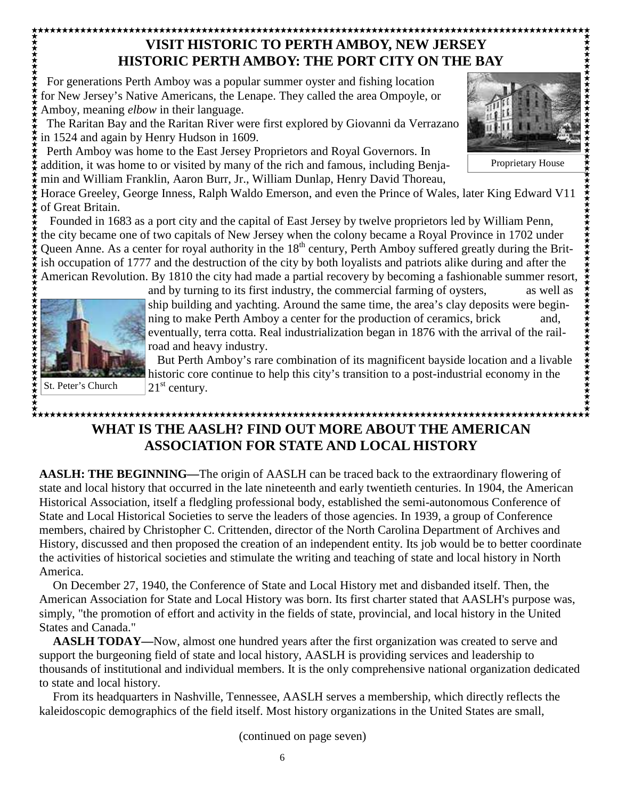#### \*\*\*\*\*\*\*\*\*\*\*\*\*\*\*\*\*\*\*\*\*\*\*\*\*\*\*\*\*\*\*\*\*  **VISIT HISTORIC TO PERTH AMBOY, NEW JERSEY HISTORIC PERTH AMBOY: THE PORT CITY ON THE BAY**

\*\*\*\*\*\*\*\*\*\*\*\*\*\*\*\*\*\*\*\*\*\*\*\* For generations Perth Amboy was a popular summer oyster and fishing location for New Jersey's Native Americans, the Lenape. They called the area Ompoyle, or Amboy, meaning *elbow* in their language.

 The Raritan Bay and the Raritan River were first explored by Giovanni da Verrazano in 1524 and again by Henry Hudson in 1609.

 Perth Amboy was home to the East Jersey Proprietors and Royal Governors. In addition, it was home to or visited by many of the rich and famous, including Benja-

min and William Franklin, Aaron Burr, Jr., William Dunlap, Henry David Thoreau,

Horace Greeley, George Inness, Ralph Waldo Emerson, and even the Prince of Wales, later King Edward V11 of Great Britain.

 Founded in 1683 as a port city and the capital of East Jersey by twelve proprietors led by William Penn, the city became one of two capitals of New Jersey when the colony became a Royal Province in 1702 under Queen Anne. As a center for royal authority in the  $18<sup>th</sup>$  century, Perth Amboy suffered greatly during the British occupation of 1777 and the destruction of the city by both loyalists and patriots alike during and after the American Revolution. By 1810 the city had made a partial recovery by becoming a fashionable summer resort,

\*\*\*\*\*\*\*\*\*\*\*\*\*\*\*\*\*\*\*\*\*\*\*\*\*\*\*\* St. Peter's Church

and by turning to its first industry, the commercial farming of oysters, as well as ship building and yachting. Around the same time, the area's clay deposits were beginning to make Perth Amboy a center for the production of ceramics, brick and, eventually, terra cotta. Real industrialization began in 1876 with the arrival of the railroad and heavy industry.

 But Perth Amboy's rare combination of its magnificent bayside location and a livable historic core continue to help this city's transition to a post-industrial economy in the  $21<sup>st</sup>$  century.

## **WHAT IS THE AASLH? FIND OUT MORE ABOUT THE AMERICAN ASSOCIATION FOR STATE AND LOCAL HISTORY**

**AASLH: THE BEGINNING—**The origin of AASLH can be traced back to the extraordinary flowering of state and local history that occurred in the late nineteenth and early twentieth centuries. In 1904, the American Historical Association, itself a fledgling professional body, established the semi-autonomous Conference of State and Local Historical Societies to serve the leaders of those agencies. In 1939, a group of Conference members, chaired by Christopher C. Crittenden, director of the North Carolina Department of Archives and History, discussed and then proposed the creation of an independent entity. Its job would be to better coordinate the activities of historical societies and stimulate the writing and teaching of state and local history in North America.

 On December 27, 1940, the Conference of State and Local History met and disbanded itself. Then, the American Association for State and Local History was born. Its first charter stated that AASLH's purpose was, simply, "the promotion of effort and activity in the fields of state, provincial, and local history in the United States and Canada."

**AASLH TODAY—**Now, almost one hundred years after the first organization was created to serve and support the burgeoning field of state and local history, AASLH is providing services and leadership to thousands of institutional and individual members. It is the only comprehensive national organization dedicated to state and local history.

 From its headquarters in Nashville, Tennessee, AASLH serves a membership, which directly reflects the kaleidoscopic demographics of the field itself. Most history organizations in the United States are small,

(continued on page seven)

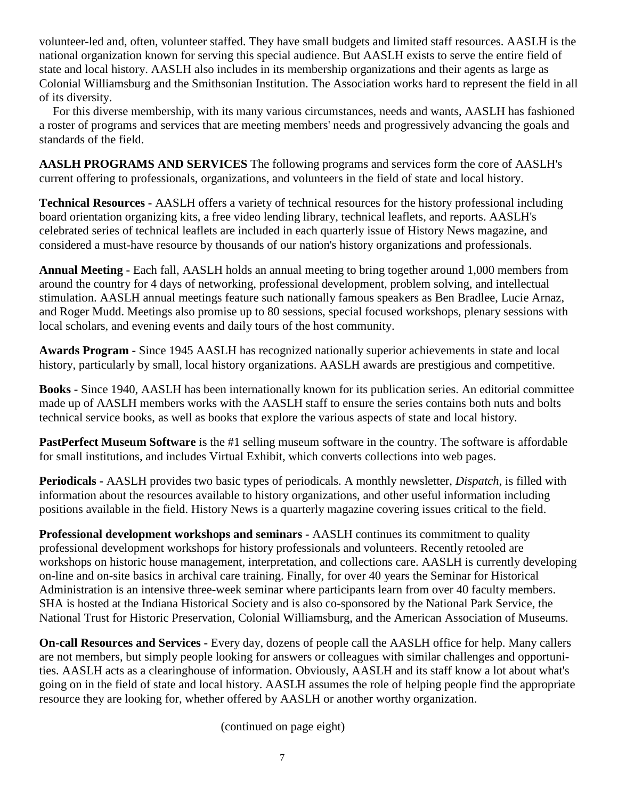volunteer-led and, often, volunteer staffed. They have small budgets and limited staff resources. AASLH is the national organization known for serving this special audience. But AASLH exists to serve the entire field of state and local history. AASLH also includes in its membership organizations and their agents as large as Colonial Williamsburg and the Smithsonian Institution. The Association works hard to represent the field in all of its diversity.

 For this diverse membership, with its many various circumstances, needs and wants, AASLH has fashioned a roster of programs and services that are meeting members' needs and progressively advancing the goals and standards of the field.

**AASLH PROGRAMS AND SERVICES** The following programs and services form the core of AASLH's current offering to professionals, organizations, and volunteers in the field of state and local history.

**Technical Resources -** AASLH offers a variety of technical resources for the history professional including board orientation organizing kits, a free video lending library, technical leaflets, and reports. AASLH's celebrated series of technical leaflets are included in each quarterly issue of History News magazine, and considered a must-have resource by thousands of our nation's history organizations and professionals.

**Annual Meeting -** Each fall, AASLH holds an annual meeting to bring together around 1,000 members from around the country for 4 days of networking, professional development, problem solving, and intellectual stimulation. AASLH annual meetings feature such nationally famous speakers as Ben Bradlee, Lucie Arnaz, and Roger Mudd. Meetings also promise up to 80 sessions, special focused workshops, plenary sessions with local scholars, and evening events and daily tours of the host community.

**Awards Program -** Since 1945 AASLH has recognized nationally superior achievements in state and local history, particularly by small, local history organizations. AASLH awards are prestigious and competitive.

**Books -** Since 1940, AASLH has been internationally known for its publication series. An editorial committee made up of AASLH members works with the AASLH staff to ensure the series contains both nuts and bolts technical service books, as well as books that explore the various aspects of state and local history.

**PastPerfect Museum Software** is the #1 selling museum software in the country. The software is affordable for small institutions, and includes Virtual Exhibit, which converts collections into web pages.

**Periodicals -** AASLH provides two basic types of periodicals. A monthly newsletter, *Dispatch*, is filled with information about the resources available to history organizations, and other useful information including positions available in the field. History News is a quarterly magazine covering issues critical to the field.

**Professional development workshops and seminars -** AASLH continues its commitment to quality professional development workshops for history professionals and volunteers. Recently retooled are workshops on historic house management, interpretation, and collections care. AASLH is currently developing on-line and on-site basics in archival care training. Finally, for over 40 years the Seminar for Historical Administration is an intensive three-week seminar where participants learn from over 40 faculty members. SHA is hosted at the Indiana Historical Society and is also co-sponsored by the National Park Service, the National Trust for Historic Preservation, Colonial Williamsburg, and the American Association of Museums.

**On-call Resources and Services -** Every day, dozens of people call the AASLH office for help. Many callers are not members, but simply people looking for answers or colleagues with similar challenges and opportunities. AASLH acts as a clearinghouse of information. Obviously, AASLH and its staff know a lot about what's going on in the field of state and local history. AASLH assumes the role of helping people find the appropriate resource they are looking for, whether offered by AASLH or another worthy organization.

(continued on page eight)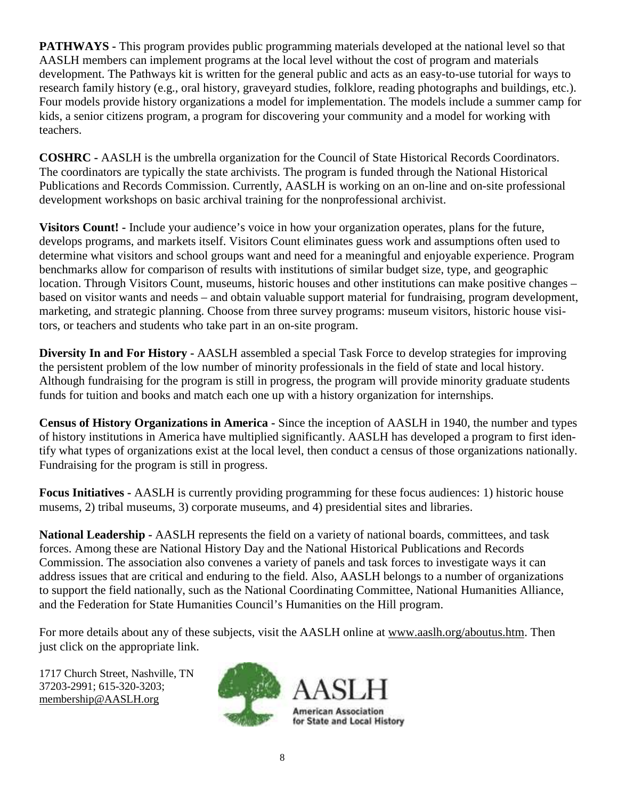**PATHWAYS -** This program provides public programming materials developed at the national level so that AASLH members can implement programs at the local level without the cost of program and materials development. The Pathways kit is written for the general public and acts as an easy-to-use tutorial for ways to research family history (e.g., oral history, graveyard studies, folklore, reading photographs and buildings, etc.). Four models provide history organizations a model for implementation. The models include a summer camp for kids, a senior citizens program, a program for discovering your community and a model for working with teachers.

**COSHRC -** AASLH is the umbrella organization for the Council of State Historical Records Coordinators. The coordinators are typically the state archivists. The program is funded through the National Historical Publications and Records Commission. Currently, AASLH is working on an on-line and on-site professional development workshops on basic archival training for the nonprofessional archivist.

**Visitors Count! -** Include your audience's voice in how your organization operates, plans for the future, develops programs, and markets itself. Visitors Count eliminates guess work and assumptions often used to determine what visitors and school groups want and need for a meaningful and enjoyable experience. Program benchmarks allow for comparison of results with institutions of similar budget size, type, and geographic location. Through Visitors Count, museums, historic houses and other institutions can make positive changes – based on visitor wants and needs – and obtain valuable support material for fundraising, program development, marketing, and strategic planning. Choose from three survey programs: museum visitors, historic house visitors, or teachers and students who take part in an on-site program.

**Diversity In and For History -** AASLH assembled a special Task Force to develop strategies for improving the persistent problem of the low number of minority professionals in the field of state and local history. Although fundraising for the program is still in progress, the program will provide minority graduate students funds for tuition and books and match each one up with a history organization for internships.

**Census of History Organizations in America -** Since the inception of AASLH in 1940, the number and types of history institutions in America have multiplied significantly. AASLH has developed a program to first identify what types of organizations exist at the local level, then conduct a census of those organizations nationally. Fundraising for the program is still in progress.

**Focus Initiatives -** AASLH is currently providing programming for these focus audiences: 1) historic house musems, 2) tribal museums, 3) corporate museums, and 4) presidential sites and libraries.

**National Leadership -** AASLH represents the field on a variety of national boards, committees, and task forces. Among these are National History Day and the National Historical Publications and Records Commission. The association also convenes a variety of panels and task forces to investigate ways it can address issues that are critical and enduring to the field. Also, AASLH belongs to a number of organizations to support the field nationally, such as the National Coordinating Committee, National Humanities Alliance, and the Federation for State Humanities Council's Humanities on the Hill program.

For more details about any of these subjects, visit the AASLH online at www.aaslh.org/aboutus.htm. Then just click on the appropriate link.

1717 Church Street, Nashville, TN 37203-2991; 615-320-3203; membership@AASLH.org

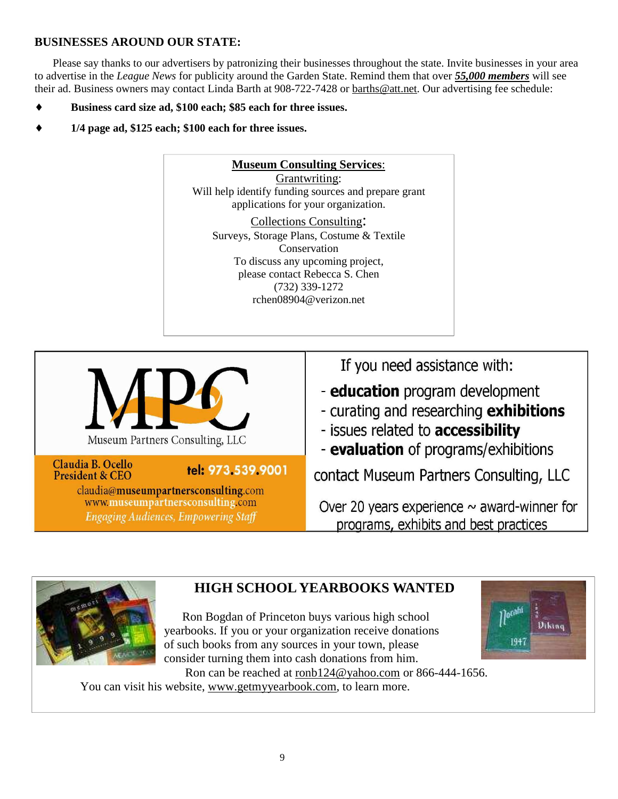#### **BUSINESSES AROUND OUR STATE:**

Please say thanks to our advertisers by patronizing their businesses throughout the state. Invite businesses in your area to advertise in the *League News* for publicity around the Garden State. Remind them that over *55,000 members* will see their ad. Business owners may contact Linda Barth at 908-722-7428 or **barths@att.net**. Our advertising fee schedule:

- Business card size ad, \$100 each; \$85 each for three issues.
- ♦ **1/4 page ad, \$125 each; \$100 each for three issues.**







## **HIGH SCHOOL YEARBOOKS WANTED**

 Ron Bogdan of Princeton buys various high school yearbooks. If you or your organization receive donations of such books from any sources in your town, please consider turning them into cash donations from him. Ron can be reached at ronb124@yahoo.com or 866-444-1656.



You can visit his website, www.getmyyearbook.com, to learn more.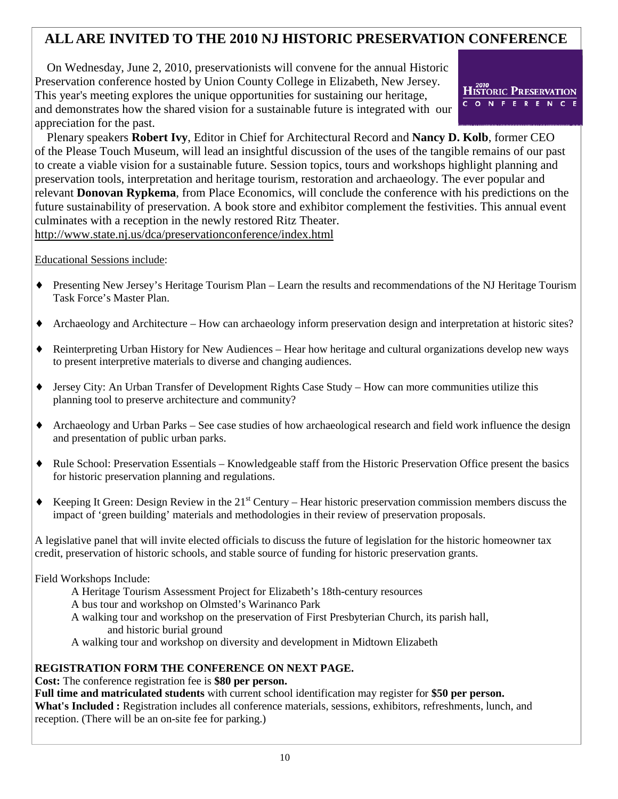## **ALL ARE INVITED TO THE 2010 NJ HISTORIC PRESERVATION CONFERENCE**

 On Wednesday, June 2, 2010, preservationists will convene for the annual Historic Preservation conference hosted by Union County College in Elizabeth, New Jersey. This year's meeting explores the unique opportunities for sustaining our heritage, and demonstrates how the shared vision for a sustainable future is integrated with our appreciation for the past.



 Plenary speakers **Robert Ivy**, Editor in Chief for Architectural Record and **Nancy D. Kolb**, former CEO of the Please Touch Museum, will lead an insightful discussion of the uses of the tangible remains of our past to create a viable vision for a sustainable future. Session topics, tours and workshops highlight planning and preservation tools, interpretation and heritage tourism, restoration and archaeology. The ever popular and relevant **Donovan Rypkema**, from Place Economics, will conclude the conference with his predictions on the future sustainability of preservation. A book store and exhibitor complement the festivities. This annual event culminates with a reception in the newly restored Ritz Theater. http://www.state.nj.us/dca/preservationconference/index.html

#### Educational Sessions include:

- ♦ Presenting New Jersey's Heritage Tourism Plan Learn the results and recommendations of the NJ Heritage Tourism Task Force's Master Plan.
- ♦ Archaeology and Architecture How can archaeology inform preservation design and interpretation at historic sites?
- ♦ Reinterpreting Urban History for New Audiences Hear how heritage and cultural organizations develop new ways to present interpretive materials to diverse and changing audiences.
- ♦ Jersey City: An Urban Transfer of Development Rights Case Study How can more communities utilize this planning tool to preserve architecture and community?
- ♦ Archaeology and Urban Parks See case studies of how archaeological research and field work influence the design and presentation of public urban parks.
- ♦ Rule School: Preservation Essentials Knowledgeable staff from the Historic Preservation Office present the basics for historic preservation planning and regulations.
- $\bullet$  Keeping It Green: Design Review in the 21<sup>st</sup> Century Hear historic preservation commission members discuss the impact of 'green building' materials and methodologies in their review of preservation proposals.

A legislative panel that will invite elected officials to discuss the future of legislation for the historic homeowner tax credit, preservation of historic schools, and stable source of funding for historic preservation grants.

#### Field Workshops Include:

- A Heritage Tourism Assessment Project for Elizabeth's 18th-century resources
- A bus tour and workshop on Olmsted's Warinanco Park
- A walking tour and workshop on the preservation of First Presbyterian Church, its parish hall, and historic burial ground
- A walking tour and workshop on diversity and development in Midtown Elizabeth

#### **REGISTRATION FORM THE CONFERENCE ON NEXT PAGE.**

#### **Cost:** The conference registration fee is **\$80 per person.**

**Full time and matriculated students** with current school identification may register for **\$50 per person. What's Included :** Registration includes all conference materials, sessions, exhibitors, refreshments, lunch, and reception. (There will be an on-site fee for parking.)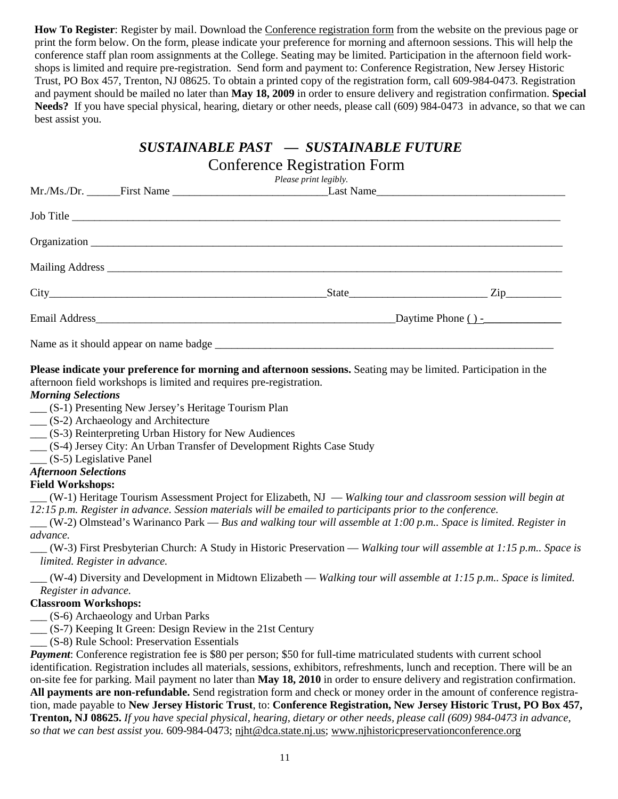**How To Register**: Register by mail. Download the Conference registration form from the website on the previous page or print the form below. On the form, please indicate your preference for morning and afternoon sessions. This will help the conference staff plan room assignments at the College. Seating may be limited. Participation in the afternoon field workshops is limited and require pre-registration. Send form and payment to: Conference Registration, New Jersey Historic Trust, PO Box 457, Trenton, NJ 08625. To obtain a printed copy of the registration form, call 609-984-0473. Registration and payment should be mailed no later than **May 18, 2009** in order to ensure delivery and registration confirmation. **Special Needs?** If you have special physical, hearing, dietary or other needs, please call (609) 984-0473 in advance, so that we can best assist you.

## *SUSTAINABLE PAST — SUSTAINABLE FUTURE*

| <b>Conference Registration Form</b><br>Please print legibly. |  |           |                             |  |
|--------------------------------------------------------------|--|-----------|-----------------------------|--|
|                                                              |  |           |                             |  |
|                                                              |  | Job Title |                             |  |
|                                                              |  |           |                             |  |
|                                                              |  |           |                             |  |
|                                                              |  |           | $\text{State}$ $\text{Zip}$ |  |
|                                                              |  |           |                             |  |
|                                                              |  |           |                             |  |

**Please indicate your preference for morning and afternoon sessions.** Seating may be limited. Participation in the afternoon field workshops is limited and requires pre-registration.

#### *Morning Selections*

- \_\_\_ (S-1) Presenting New Jersey's Heritage Tourism Plan
- \_\_\_ (S-2) Archaeology and Architecture
- \_\_\_ (S-3) Reinterpreting Urban History for New Audiences
- \_\_\_ (S-4) Jersey City: An Urban Transfer of Development Rights Case Study
- \_\_\_ (S-5) Legislative Panel

#### *Afternoon Selections*

#### **Field Workshops:**

\_\_\_ (W-1) Heritage Tourism Assessment Project for Elizabeth, NJ — *Walking tour and classroom session will begin at 12:15 p.m. Register in advance. Session materials will be emailed to participants prior to the conference.*

\_\_\_ (W-2) Olmstead's Warinanco Park — *Bus and walking tour will assemble at 1:00 p.m.. Space is limited. Register in advance.*

\_\_\_ (W-3) First Presbyterian Church: A Study in Historic Preservation — *Walking tour will assemble at 1:15 p.m.. Space is limited. Register in advance.*

\_\_\_ (W-4) Diversity and Development in Midtown Elizabeth — *Walking tour will assemble at 1:15 p.m.. Space is limited. Register in advance.*

#### **Classroom Workshops:**

- \_\_\_ (S-6) Archaeology and Urban Parks
- \_\_\_ (S-7) Keeping It Green: Design Review in the 21st Century
	- \_\_\_ (S-8) Rule School: Preservation Essentials

*Payment*: Conference registration fee is \$80 per person; \$50 for full-time matriculated students with current school identification. Registration includes all materials, sessions, exhibitors, refreshments, lunch and reception. There will be an on-site fee for parking. Mail payment no later than **May 18, 2010** in order to ensure delivery and registration confirmation. **All payments are non-refundable.** Send registration form and check or money order in the amount of conference registration, made payable to **New Jersey Historic Trust**, to: **Conference Registration, New Jersey Historic Trust, PO Box 457, Trenton, NJ 08625.** *If you have special physical, hearing, dietary or other needs, please call (609) 984-0473 in advance, so that we can best assist you.* 609-984-0473; njht@dca.state.nj.us; www.njhistoricpreservationconference.org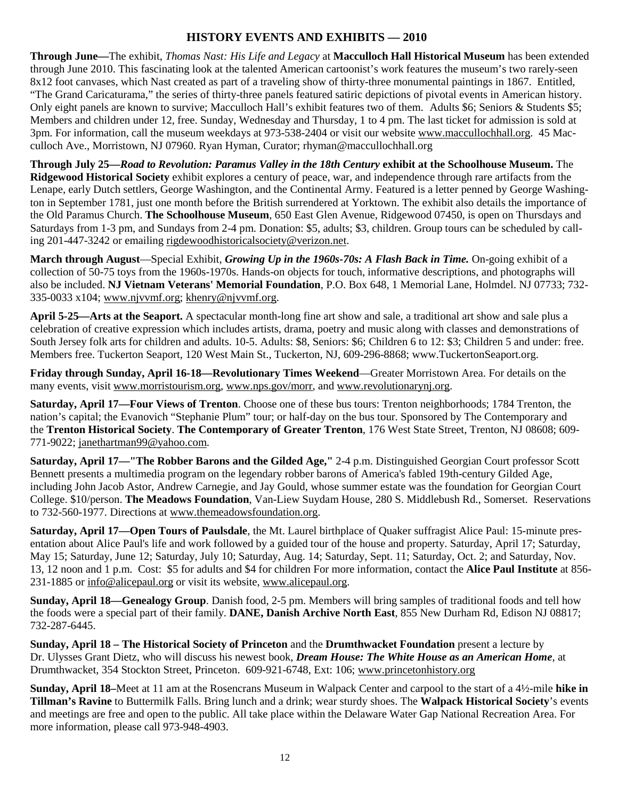#### **HISTORY EVENTS AND EXHIBITS — 2010**

**Through June—**The exhibit, *Thomas Nast: His Life and Legacy* at **Macculloch Hall Historical Museum** has been extended through June 2010. This fascinating look at the talented American cartoonist's work features the museum's two rarely-seen 8x12 foot canvases, which Nast created as part of a traveling show of thirty-three monumental paintings in 1867. Entitled, "The Grand Caricaturama," the series of thirty-three panels featured satiric depictions of pivotal events in American history. Only eight panels are known to survive; Macculloch Hall's exhibit features two of them. Adults \$6; Seniors & Students \$5; Members and children under 12, free. Sunday, Wednesday and Thursday, 1 to 4 pm. The last ticket for admission is sold at 3pm. For information, call the museum weekdays at 973-538-2404 or visit our website www.maccullochhall.org. 45 Macculloch Ave., Morristown, NJ 07960. Ryan Hyman, Curator; rhyman@maccullochhall.org

**Through July 25—***Road to Revolution: Paramus Valley in the 18th Century* **exhibit at the Schoolhouse Museum.** The **Ridgewood Historical Society** exhibit explores a century of peace, war, and independence through rare artifacts from the Lenape, early Dutch settlers, George Washington, and the Continental Army. Featured is a letter penned by George Washington in September 1781, just one month before the British surrendered at Yorktown. The exhibit also details the importance of the Old Paramus Church. **The Schoolhouse Museum**, 650 East Glen Avenue, Ridgewood 07450, is open on Thursdays and Saturdays from 1-3 pm, and Sundays from 2-4 pm. Donation: \$5, adults; \$3, children. Group tours can be scheduled by calling 201-447-3242 or emailing rigdewoodhistoricalsociety@verizon.net.

**March through August**—Special Exhibit, *Growing Up in the 1960s-70s: A Flash Back in Time.* On-going exhibit of a collection of 50-75 toys from the 1960s-1970s. Hands-on objects for touch, informative descriptions, and photographs will also be included. **NJ Vietnam Veterans' Memorial Foundation**, P.O. Box 648, 1 Memorial Lane, Holmdel. NJ 07733; 732- 335-0033 x104; www.njvvmf.org; khenry@njvvmf.org.

**April 5-25—Arts at the Seaport.** A spectacular month-long fine art show and sale, a traditional art show and sale plus a celebration of creative expression which includes artists, drama, poetry and music along with classes and demonstrations of South Jersey folk arts for children and adults. 10-5. Adults: \$8, Seniors: \$6; Children 6 to 12: \$3; Children 5 and under: free. Members free. Tuckerton Seaport, 120 West Main St., Tuckerton, NJ, 609-296-8868; www.TuckertonSeaport.org.

**Friday through Sunday, April 16-18—Revolutionary Times Weekend**—Greater Morristown Area. For details on the many events, visit www.morristourism.org, www.nps.gov/morr, and www.revolutionarynj.org.

**Saturday, April 17—Four Views of Trenton**. Choose one of these bus tours: Trenton neighborhoods; 1784 Trenton, the nation's capital; the Evanovich "Stephanie Plum" tour; or half-day on the bus tour. Sponsored by The Contemporary and the **Trenton Historical Society**. **The Contemporary of Greater Trenton**, 176 West State Street, Trenton, NJ 08608; 609- 771-9022; janethartman99@yahoo.com.

**Saturday, April 17—"The Robber Barons and the Gilded Age,"** 2-4 p.m. Distinguished Georgian Court professor Scott Bennett presents a multimedia program on the legendary robber barons of America's fabled 19th-century Gilded Age, including John Jacob Astor, Andrew Carnegie, and Jay Gould, whose summer estate was the foundation for Georgian Court College. \$10/person. **The Meadows Foundation**, Van-Liew Suydam House, 280 S. Middlebush Rd., Somerset. Reservations to 732-560-1977. Directions at www.themeadowsfoundation.org.

**Saturday, April 17—Open Tours of Paulsdale**, the Mt. Laurel birthplace of Quaker suffragist Alice Paul: 15-minute presentation about Alice Paul's life and work followed by a guided tour of the house and property. Saturday, April 17; Saturday, May 15; Saturday, June 12; Saturday, July 10; Saturday, Aug. 14; Saturday, Sept. 11; Saturday, Oct. 2; and Saturday, Nov. 13, 12 noon and 1 p.m. Cost: \$5 for adults and \$4 for children For more information, contact the **Alice Paul Institute** at 856- 231-1885 or info@alicepaul.org or visit its website, www.alicepaul.org.

**Sunday, April 18—Genealogy Group**. Danish food, 2-5 pm. Members will bring samples of traditional foods and tell how the foods were a special part of their family. **DANE, Danish Archive North East**, 855 New Durham Rd, Edison NJ 08817; 732-287-6445.

**Sunday, April 18 – The Historical Society of Princeton** and the **Drumthwacket Foundation** present a lecture by Dr. Ulysses Grant Dietz, who will discuss his newest book, *Dream House: The White House as an American Home*, at Drumthwacket, 354 Stockton Street, Princeton. 609-921-6748, Ext: 106; www.princetonhistory.org

**Sunday, April 18–**Meet at 11 am at the Rosencrans Museum in Walpack Center and carpool to the start of a 4½-mile **hike in Tillman's Ravine** to Buttermilk Falls. Bring lunch and a drink; wear sturdy shoes. The **Walpack Historical Society**'s events and meetings are free and open to the public. All take place within the Delaware Water Gap National Recreation Area. For more information, please call 973-948-4903.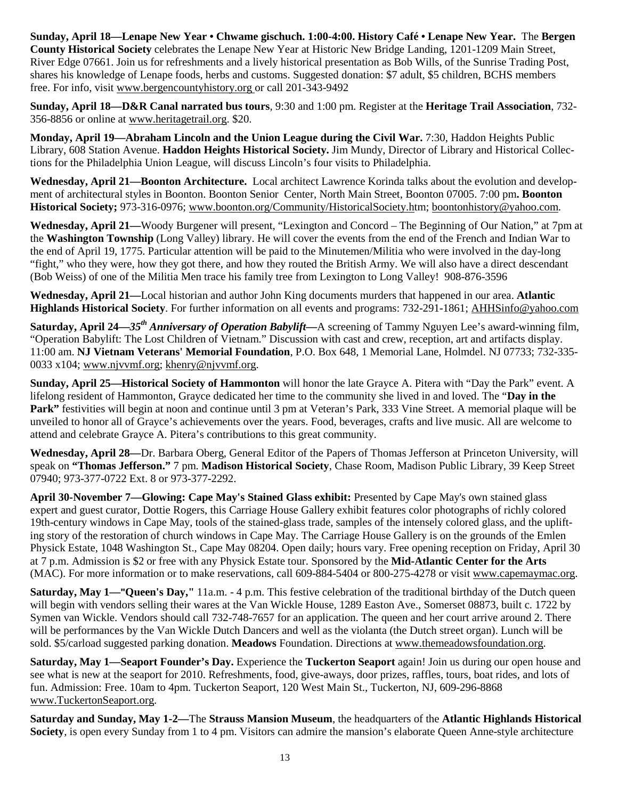**Sunday, April 18—Lenape New Year • Chwame gischuch. 1:00-4:00. History Café • Lenape New Year.** The **Bergen County Historical Society** celebrates the Lenape New Year at Historic New Bridge Landing, 1201-1209 Main Street, River Edge 07661. Join us for refreshments and a lively historical presentation as Bob Wills, of the Sunrise Trading Post, shares his knowledge of Lenape foods, herbs and customs. Suggested donation: \$7 adult, \$5 children, BCHS members free. For info, visit www.bergencountyhistory.org or call 201-343-9492

**Sunday, April 18—D&R Canal narrated bus tours**, 9:30 and 1:00 pm. Register at the **Heritage Trail Association**, 732- 356-8856 or online at www.heritagetrail.org. \$20.

**Monday, April 19—Abraham Lincoln and the Union League during the Civil War.** 7:30, Haddon Heights Public Library, 608 Station Avenue. **Haddon Heights Historical Society.** Jim Mundy, Director of Library and Historical Collections for the Philadelphia Union League, will discuss Lincoln's four visits to Philadelphia.

**Wednesday, April 21—Boonton Architecture.** Local architect Lawrence Korinda talks about the evolution and development of architectural styles in Boonton. Boonton Senior Center, North Main Street, Boonton 07005. 7:00 pm**. Boonton Historical Society;** 973-316-0976; www.boonton.org/Community/HistoricalSociety.htm; boontonhistory@yahoo.com.

**Wednesday, April 21—**Woody Burgener will present, "Lexington and Concord – The Beginning of Our Nation," at 7pm at the **Washington Township** (Long Valley) library. He will cover the events from the end of the French and Indian War to the end of April 19, 1775. Particular attention will be paid to the Minutemen/Militia who were involved in the day-long "fight," who they were, how they got there, and how they routed the British Army. We will also have a direct descendant (Bob Weiss) of one of the Militia Men trace his family tree from Lexington to Long Valley! 908-876-3596

**Wednesday, April 21—**Local historian and author John King documents murders that happened in our area. **Atlantic Highlands Historical Society**. For further information on all events and programs: 732-291-1861; AHHSinfo@yahoo.com

**Saturday, April 24—***35th Anniversary of Operation Babylift—*A screening of Tammy Nguyen Lee's award-winning film, "Operation Babylift: The Lost Children of Vietnam." Discussion with cast and crew, reception, art and artifacts display. 11:00 am. **NJ Vietnam Veterans' Memorial Foundation**, P.O. Box 648, 1 Memorial Lane, Holmdel. NJ 07733; 732-335- 0033 x104; www.njvvmf.org; khenry@njvvmf.org.

**Sunday, April 25—Historical Society of Hammonton** will honor the late Grayce A. Pitera with "Day the Park" event. A lifelong resident of Hammonton, Grayce dedicated her time to the community she lived in and loved. The "**Day in the Park"** festivities will begin at noon and continue until 3 pm at Veteran's Park, 333 Vine Street. A memorial plaque will be unveiled to honor all of Grayce's achievements over the years. Food, beverages, crafts and live music. All are welcome to attend and celebrate Grayce A. Pitera's contributions to this great community.

**Wednesday, April 28—**Dr. Barbara Oberg, General Editor of the Papers of Thomas Jefferson at Princeton University, will speak on **"Thomas Jefferson."** 7 pm. **Madison Historical Society**, Chase Room, Madison Public Library, 39 Keep Street 07940; 973-377-0722 Ext. 8 or 973-377-2292.

**April 30-November 7—Glowing: Cape May's Stained Glass exhibit:** Presented by Cape May's own stained glass expert and guest curator, Dottie Rogers, this Carriage House Gallery exhibit features color photographs of richly colored 19th-century windows in Cape May, tools of the stained-glass trade, samples of the intensely colored glass, and the uplifting story of the restoration of church windows in Cape May. The Carriage House Gallery is on the grounds of the Emlen Physick Estate, 1048 Washington St., Cape May 08204. Open daily; hours vary. Free opening reception on Friday, April 30 at 7 p.m. Admission is \$2 or free with any Physick Estate tour. Sponsored by the **Mid-Atlantic Center for the Arts**  (MAC). For more information or to make reservations, call 609-884-5404 or 800-275-4278 or visit www.capemaymac.org.

**Saturday, May 1—"Queen's Day,"** 11a.m. - 4 p.m. This festive celebration of the traditional birthday of the Dutch queen will begin with vendors selling their wares at the Van Wickle House, 1289 Easton Ave., Somerset 08873, built c. 1722 by Symen van Wickle. Vendors should call 732-748-7657 for an application. The queen and her court arrive around 2. There will be performances by the Van Wickle Dutch Dancers and well as the violanta (the Dutch street organ). Lunch will be sold. \$5/carload suggested parking donation. **Meadows** Foundation. Directions at www.themeadowsfoundation.org.

**Saturday, May 1—Seaport Founder's Day.** Experience the **Tuckerton Seaport** again! Join us during our open house and see what is new at the seaport for 2010. Refreshments, food, give-aways, door prizes, raffles, tours, boat rides, and lots of fun. Admission: Free. 10am to 4pm. Tuckerton Seaport, 120 West Main St., Tuckerton, NJ, 609-296-8868 www.TuckertonSeaport.org.

**Saturday and Sunday, May 1-2—**The **Strauss Mansion Museum**, the headquarters of the **Atlantic Highlands Historical Society**, is open every Sunday from 1 to 4 pm. Visitors can admire the mansion's elaborate Queen Anne-style architecture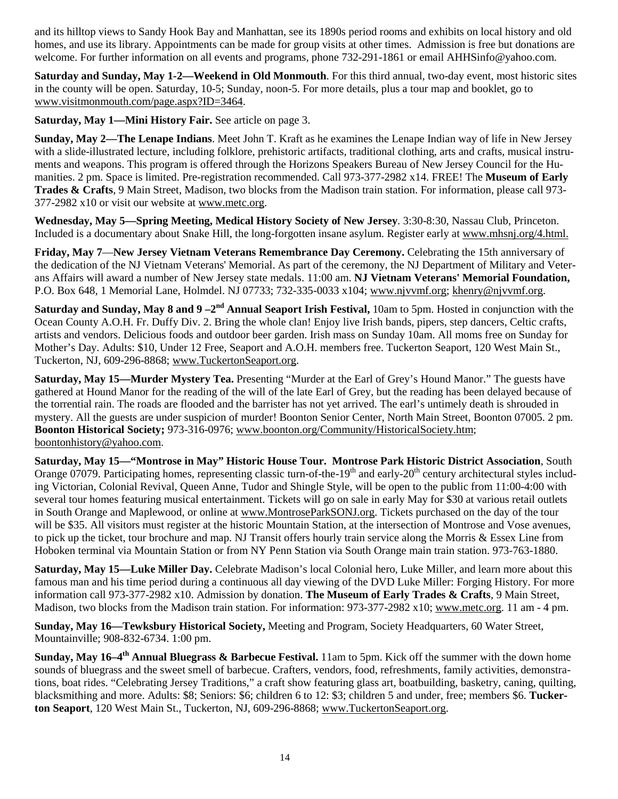and its hilltop views to Sandy Hook Bay and Manhattan, see its 1890s period rooms and exhibits on local history and old homes, and use its library. Appointments can be made for group visits at other times. Admission is free but donations are welcome. For further information on all events and programs, phone 732-291-1861 or email AHHSinfo@yahoo.com.

**Saturday and Sunday, May 1-2—Weekend in Old Monmouth**. For this third annual, two-day event, most historic sites in the county will be open. Saturday, 10-5; Sunday, noon-5. For more details, plus a tour map and booklet, go to www.visitmonmouth.com/page.aspx?ID=3464.

**Saturday, May 1—Mini History Fair.** See article on page 3.

**Sunday, May 2—The Lenape Indians**. Meet John T. Kraft as he examines the Lenape Indian way of life in New Jersey with a slide-illustrated lecture, including folklore, prehistoric artifacts, traditional clothing, arts and crafts, musical instruments and weapons. This program is offered through the Horizons Speakers Bureau of New Jersey Council for the Humanities. 2 pm. Space is limited. Pre-registration recommended. Call 973-377-2982 x14. FREE! The **Museum of Early Trades & Crafts**, 9 Main Street, Madison, two blocks from the Madison train station. For information, please call 973- 377-2982 x10 or visit our website at www.metc.org.

**Wednesday, May 5—Spring Meeting, Medical History Society of New Jersey**. 3:30-8:30, Nassau Club, Princeton. Included is a documentary about Snake Hill, the long-forgotten insane asylum. Register early at www.mhsnj.org/4.html.

**Friday, May 7**—**New Jersey Vietnam Veterans Remembrance Day Ceremony.** Celebrating the 15th anniversary of the dedication of the NJ Vietnam Veterans' Memorial. As part of the ceremony, the NJ Department of Military and Veterans Affairs will award a number of New Jersey state medals. 11:00 am. **NJ Vietnam Veterans' Memorial Foundation,** P.O. Box 648, 1 Memorial Lane, Holmdel. NJ 07733; 732-335-0033 x104; www.njvvmf.org; khenry@njvvmf.org.

**Saturday and Sunday, May 8 and 9 –2nd Annual Seaport Irish Festival,** 10am to 5pm. Hosted in conjunction with the Ocean County A.O.H. Fr. Duffy Div. 2. Bring the whole clan! Enjoy live Irish bands, pipers, step dancers, Celtic crafts, artists and vendors. Delicious foods and outdoor beer garden. Irish mass on Sunday 10am. All moms free on Sunday for Mother's Day. Adults: \$10, Under 12 Free, Seaport and A.O.H. members free. Tuckerton Seaport, 120 West Main St., Tuckerton, NJ, 609-296-8868; www.TuckertonSeaport.org.

**Saturday, May 15—Murder Mystery Tea.** Presenting "Murder at the Earl of Grey's Hound Manor." The guests have gathered at Hound Manor for the reading of the will of the late Earl of Grey, but the reading has been delayed because of the torrential rain. The roads are flooded and the barrister has not yet arrived. The earl's untimely death is shrouded in mystery. All the guests are under suspicion of murder! Boonton Senior Center, North Main Street, Boonton 07005. 2 pm. **Boonton Historical Society;** 973-316-0976; www.boonton.org/Community/HistoricalSociety.htm; boontonhistory@yahoo.com.

**Saturday, May 15—"Montrose in May" Historic House Tour. Montrose Park Historic District Association**, South Orange 07079. Participating homes, representing classic turn-of-the-19<sup>th</sup> and early-20<sup>th</sup> century architectural styles including Victorian, Colonial Revival, Queen Anne, Tudor and Shingle Style, will be open to the public from 11:00-4:00 with several tour homes featuring musical entertainment. Tickets will go on sale in early May for \$30 at various retail outlets in South Orange and Maplewood, or online at www.MontroseParkSONJ.org. Tickets purchased on the day of the tour will be \$35. All visitors must register at the historic Mountain Station, at the intersection of Montrose and Vose avenues, to pick up the ticket, tour brochure and map. NJ Transit offers hourly train service along the Morris & Essex Line from Hoboken terminal via Mountain Station or from NY Penn Station via South Orange main train station. 973-763-1880.

**Saturday, May 15—Luke Miller Day.** Celebrate Madison's local Colonial hero, Luke Miller, and learn more about this famous man and his time period during a continuous all day viewing of the DVD Luke Miller: Forging History. For more information call 973-377-2982 x10. Admission by donation. **The Museum of Early Trades & Crafts**, 9 Main Street, Madison, two blocks from the Madison train station. For information: 973-377-2982 x10; www.metc.org. 11 am - 4 pm.

**Sunday, May 16—Tewksbury Historical Society,** Meeting and Program, Society Headquarters, 60 Water Street, Mountainville; 908-832-6734. 1:00 pm.

**Sunday, May 16–4th Annual Bluegrass & Barbecue Festival.** 11am to 5pm. Kick off the summer with the down home sounds of bluegrass and the sweet smell of barbecue. Crafters, vendors, food, refreshments, family activities, demonstrations, boat rides. "Celebrating Jersey Traditions," a craft show featuring glass art, boatbuilding, basketry, caning, quilting, blacksmithing and more. Adults: \$8; Seniors: \$6; children 6 to 12: \$3; children 5 and under, free; members \$6. **Tuckerton Seaport**, 120 West Main St., Tuckerton, NJ, 609-296-8868; www.TuckertonSeaport.org.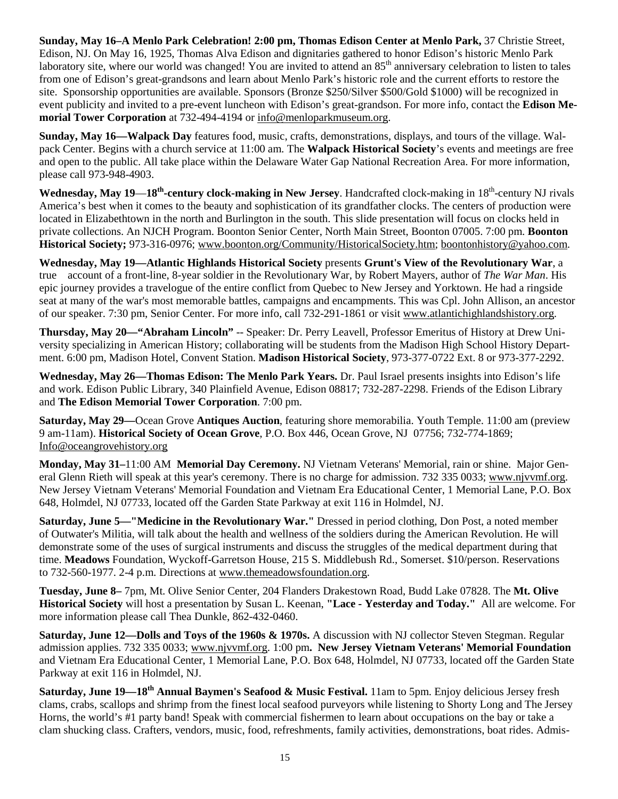**Sunday, May 16–A Menlo Park Celebration! 2:00 pm, Thomas Edison Center at Menlo Park,** 37 Christie Street, Edison, NJ. On May 16, 1925, Thomas Alva Edison and dignitaries gathered to honor Edison's historic Menlo Park laboratory site, where our world was changed! You are invited to attend an 85<sup>th</sup> anniversary celebration to listen to tales from one of Edison's great-grandsons and learn about Menlo Park's historic role and the current efforts to restore the site. Sponsorship opportunities are available. Sponsors (Bronze \$250/Silver \$500/Gold \$1000) will be recognized in event publicity and invited to a pre-event luncheon with Edison's great-grandson. For more info, contact the **Edison Memorial Tower Corporation** at 732-494-4194 or info@menloparkmuseum.org.

**Sunday, May 16—Walpack Day** features food, music, crafts, demonstrations, displays, and tours of the village. Walpack Center. Begins with a church service at 11:00 am. The **Walpack Historical Society**'s events and meetings are free and open to the public. All take place within the Delaware Water Gap National Recreation Area. For more information, please call 973-948-4903.

**Wednesday, May 19**—**18th-century clock-making in New Jersey**. Handcrafted clock-making in 18th-century NJ rivals America's best when it comes to the beauty and sophistication of its grandfather clocks. The centers of production were located in Elizabethtown in the north and Burlington in the south. This slide presentation will focus on clocks held in private collections. An NJCH Program. Boonton Senior Center, North Main Street, Boonton 07005. 7:00 pm. **Boonton Historical Society;** 973-316-0976; www.boonton.org/Community/HistoricalSociety.htm; boontonhistory@yahoo.com.

**Wednesday, May 19—Atlantic Highlands Historical Society** presents **Grunt's View of the Revolutionary War**, a true account of a front-line, 8-year soldier in the Revolutionary War, by Robert Mayers, author of *The War Man*. His epic journey provides a travelogue of the entire conflict from Quebec to New Jersey and Yorktown. He had a ringside seat at many of the war's most memorable battles, campaigns and encampments. This was Cpl. John Allison, an ancestor of our speaker. 7:30 pm, Senior Center. For more info, call 732-291-1861 or visit www.atlantichighlandshistory.org.

**Thursday, May 20—"Abraham Lincoln"** -- Speaker: Dr. Perry Leavell, Professor Emeritus of History at Drew University specializing in American History; collaborating will be students from the Madison High School History Department. 6:00 pm, Madison Hotel, Convent Station. **Madison Historical Society**, 973-377-0722 Ext. 8 or 973-377-2292.

**Wednesday, May 26—Thomas Edison: The Menlo Park Years.** Dr. Paul Israel presents insights into Edison's life and work. Edison Public Library, 340 Plainfield Avenue, Edison 08817; 732-287-2298. Friends of the Edison Library and **The Edison Memorial Tower Corporation**. 7:00 pm.

**Saturday, May 29—**Ocean Grove **Antiques Auction**, featuring shore memorabilia. Youth Temple. 11:00 am (preview 9 am-11am). **Historical Society of Ocean Grove**, P.O. Box 446, Ocean Grove, NJ 07756; 732-774-1869; Info@oceangrovehistory.org

**Monday, May 31–**11:00 AM **Memorial Day Ceremony.** NJ Vietnam Veterans' Memorial, rain or shine. Major General Glenn Rieth will speak at this year's ceremony. There is no charge for admission. 732 335 0033; www.njvvmf.org. New Jersey Vietnam Veterans' Memorial Foundation and Vietnam Era Educational Center, 1 Memorial Lane, P.O. Box 648, Holmdel, NJ 07733, located off the Garden State Parkway at exit 116 in Holmdel, NJ.

**Saturday, June 5—"Medicine in the Revolutionary War."** Dressed in period clothing, Don Post, a noted member of Outwater's Militia, will talk about the health and wellness of the soldiers during the American Revolution. He will demonstrate some of the uses of surgical instruments and discuss the struggles of the medical department during that time. **Meadows** Foundation, Wyckoff-Garretson House, 215 S. Middlebush Rd., Somerset. \$10/person. Reservations to 732-560-1977. 2-4 p.m. Directions at www.themeadowsfoundation.org.

**Tuesday, June 8–** 7pm, Mt. Olive Senior Center, 204 Flanders Drakestown Road, Budd Lake 07828. The **Mt. Olive Historical Society** will host a presentation by Susan L. Keenan, **"Lace - Yesterday and Today."** All are welcome. For more information please call Thea Dunkle, 862-432-0460.

**Saturday, June 12—Dolls and Toys of the 1960s & 1970s.** A discussion with NJ collector Steven Stegman. Regular admission applies. 732 335 0033; www.njvvmf.org. 1:00 pm**. New Jersey Vietnam Veterans' Memorial Foundation** and Vietnam Era Educational Center, 1 Memorial Lane, P.O. Box 648, Holmdel, NJ 07733, located off the Garden State Parkway at exit 116 in Holmdel, NJ.

**Saturday, June 19—18th Annual Baymen's Seafood & Music Festival.** 11am to 5pm. Enjoy delicious Jersey fresh clams, crabs, scallops and shrimp from the finest local seafood purveyors while listening to Shorty Long and The Jersey Horns, the world's #1 party band! Speak with commercial fishermen to learn about occupations on the bay or take a clam shucking class. Crafters, vendors, music, food, refreshments, family activities, demonstrations, boat rides. Admis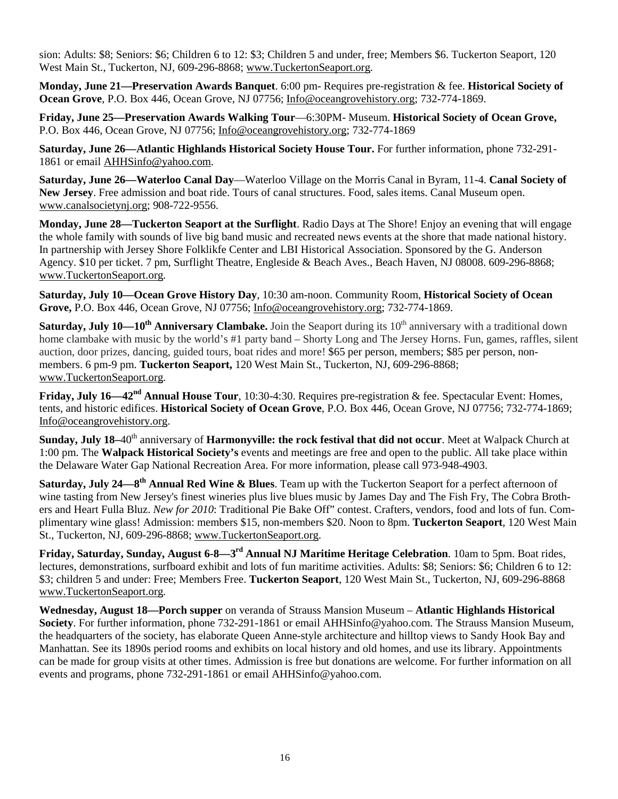sion: Adults: \$8; Seniors: \$6; Children 6 to 12: \$3; Children 5 and under, free; Members \$6. Tuckerton Seaport, 120 West Main St., Tuckerton, NJ, 609-296-8868; www.TuckertonSeaport.org.

**Monday, June 21—Preservation Awards Banquet**. 6:00 pm- Requires pre-registration & fee. **Historical Society of Ocean Grove**, P.O. Box 446, Ocean Grove, NJ 07756; Info@oceangrovehistory.org; 732-774-1869.

**Friday, June 25—Preservation Awards Walking Tour**—6:30PM- Museum. **Historical Society of Ocean Grove,**  P.O. Box 446, Ocean Grove, NJ 07756; Info@oceangrovehistory.org; 732-774-1869

**Saturday, June 26—Atlantic Highlands Historical Society House Tour.** For further information, phone 732-291- 1861 or email AHHSinfo@yahoo.com.

**Saturday, June 26—Waterloo Canal Day**—Waterloo Village on the Morris Canal in Byram, 11-4. **Canal Society of New Jersey**. Free admission and boat ride. Tours of canal structures. Food, sales items. Canal Museum open. www.canalsocietynj.org; 908-722-9556.

**Monday, June 28—Tuckerton Seaport at the Surflight**. Radio Days at The Shore! Enjoy an evening that will engage the whole family with sounds of live big band music and recreated news events at the shore that made national history. In partnership with Jersey Shore Folklikfe Center and LBI Historical Association. Sponsored by the G. Anderson Agency. \$10 per ticket. 7 pm, Surflight Theatre, Engleside & Beach Aves., Beach Haven, NJ 08008. 609-296-8868; www.TuckertonSeaport.org.

**Saturday, July 10—Ocean Grove History Day**, 10:30 am-noon. Community Room, **Historical Society of Ocean Grove,** P.O. Box 446, Ocean Grove, NJ 07756; Info@oceangrovehistory.org; 732-774-1869.

**Saturday, July 10—10<sup>th</sup> Anniversary Clambake.** Join the Seaport during its 10<sup>th</sup> anniversary with a traditional down home clambake with music by the world's #1 party band – Shorty Long and The Jersey Horns. Fun, games, raffles, silent auction, door prizes, dancing, guided tours, boat rides and more! \$65 per person, members; \$85 per person, nonmembers. 6 pm-9 pm. **Tuckerton Seaport,** 120 West Main St., Tuckerton, NJ, 609-296-8868; www.TuckertonSeaport.org.

**Friday, July 16—42nd Annual House Tour**, 10:30-4:30. Requires pre-registration & fee. Spectacular Event: Homes, tents, and historic edifices. **Historical Society of Ocean Grove**, P.O. Box 446, Ocean Grove, NJ 07756; 732-774-1869; Info@oceangrovehistory.org.

**Sunday, July 18–40<sup>th</sup> anniversary of <b>Harmonyville: the rock festival that did not occur**. Meet at Walpack Church at 1:00 pm. The **Walpack Historical Society's** events and meetings are free and open to the public. All take place within the Delaware Water Gap National Recreation Area. For more information, please call 973-948-4903.

**Saturday, July 24—8th Annual Red Wine & Blues**. Team up with the Tuckerton Seaport for a perfect afternoon of wine tasting from New Jersey's finest wineries plus live blues music by James Day and The Fish Fry, The Cobra Brothers and Heart Fulla Bluz. *New for 2010*: Traditional Pie Bake Off" contest. Crafters, vendors, food and lots of fun. Complimentary wine glass! Admission: members \$15, non-members \$20. Noon to 8pm. **Tuckerton Seaport**, 120 West Main St., Tuckerton, NJ, 609-296-8868; www.TuckertonSeaport.org.

**Friday, Saturday, Sunday, August 6-8—3rd Annual NJ Maritime Heritage Celebration**. 10am to 5pm. Boat rides, lectures, demonstrations, surfboard exhibit and lots of fun maritime activities. Adults: \$8; Seniors: \$6; Children 6 to 12: \$3; children 5 and under: Free; Members Free. **Tuckerton Seaport**, 120 West Main St., Tuckerton, NJ, 609-296-8868 www.TuckertonSeaport.org.

**Wednesday, August 18—Porch supper** on veranda of Strauss Mansion Museum – **Atlantic Highlands Historical Society**. For further information, phone 732-291-1861 or email AHHSinfo@yahoo.com. The Strauss Mansion Museum, the headquarters of the society, has elaborate Queen Anne-style architecture and hilltop views to Sandy Hook Bay and Manhattan. See its 1890s period rooms and exhibits on local history and old homes, and use its library. Appointments can be made for group visits at other times. Admission is free but donations are welcome. For further information on all events and programs, phone 732-291-1861 or email AHHSinfo@yahoo.com.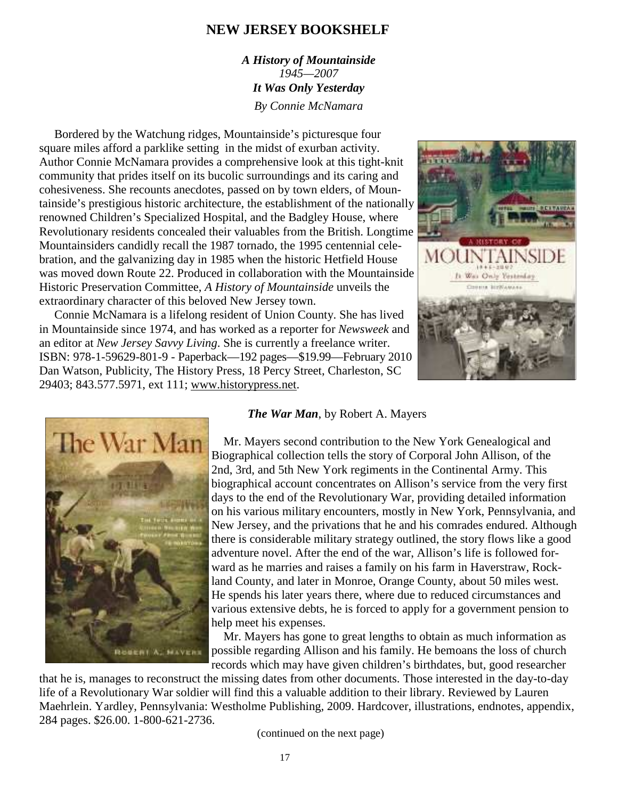### **NEW JERSEY BOOKSHELF**

*A History of Mountainside 1945—2007 It Was Only Yesterday By Connie McNamara* 

 Bordered by the Watchung ridges, Mountainside's picturesque four square miles afford a parklike setting in the midst of exurban activity. Author Connie McNamara provides a comprehensive look at this tight-knit community that prides itself on its bucolic surroundings and its caring and cohesiveness. She recounts anecdotes, passed on by town elders, of Mountainside's prestigious historic architecture, the establishment of the nationally renowned Children's Specialized Hospital, and the Badgley House, where Revolutionary residents concealed their valuables from the British. Longtime Mountainsiders candidly recall the 1987 tornado, the 1995 centennial celebration, and the galvanizing day in 1985 when the historic Hetfield House was moved down Route 22. Produced in collaboration with the Mountainside Historic Preservation Committee, *A History of Mountainside* unveils the extraordinary character of this beloved New Jersey town.

 Connie McNamara is a lifelong resident of Union County. She has lived in Mountainside since 1974, and has worked as a reporter for *Newsweek* and an editor at *New Jersey Savvy Living*. She is currently a freelance writer. ISBN: 978-1-59629-801-9 - Paperback—192 pages—\$19.99—February 2010 Dan Watson, Publicity, The History Press, 18 Percy Street, Charleston, SC 29403; 843.577.5971, ext 111; www.historypress.net.





#### *The War Man*, by Robert A. Mayers

 Mr. Mayers second contribution to the New York Genealogical and Biographical collection tells the story of Corporal John Allison, of the 2nd, 3rd, and 5th New York regiments in the Continental Army. This biographical account concentrates on Allison's service from the very first days to the end of the Revolutionary War, providing detailed information on his various military encounters, mostly in New York, Pennsylvania, and New Jersey, and the privations that he and his comrades endured. Although there is considerable military strategy outlined, the story flows like a good adventure novel. After the end of the war, Allison's life is followed forward as he marries and raises a family on his farm in Haverstraw, Rockland County, and later in Monroe, Orange County, about 50 miles west. He spends his later years there, where due to reduced circumstances and various extensive debts, he is forced to apply for a government pension to help meet his expenses.

 Mr. Mayers has gone to great lengths to obtain as much information as possible regarding Allison and his family. He bemoans the loss of church records which may have given children's birthdates, but, good researcher

that he is, manages to reconstruct the missing dates from other documents. Those interested in the day-to-day life of a Revolutionary War soldier will find this a valuable addition to their library. Reviewed by Lauren Maehrlein. Yardley, Pennsylvania: Westholme Publishing, 2009. Hardcover, illustrations, endnotes, appendix, 284 pages. \$26.00. 1-800-621-2736.

(continued on the next page)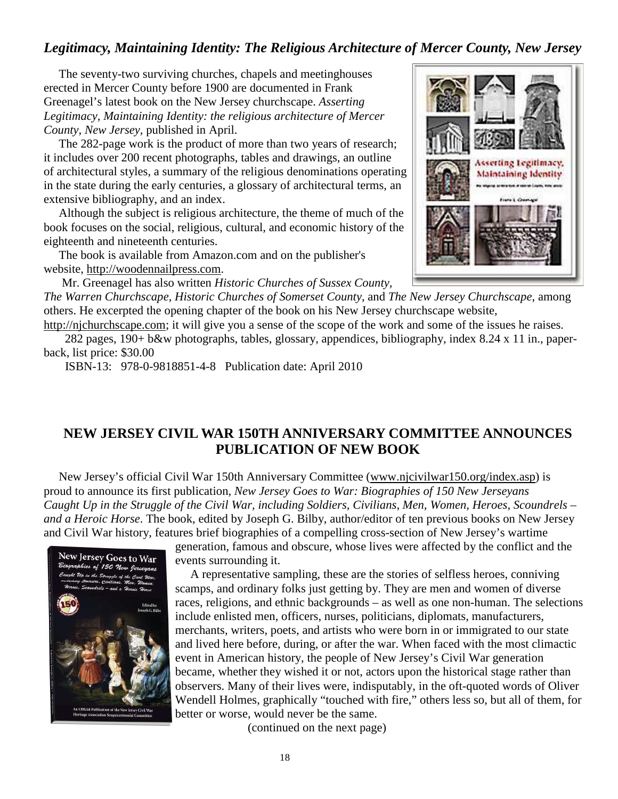## *Legitimacy, Maintaining Identity: The Religious Architecture of Mercer County, New Jersey*

 The seventy-two surviving churches, chapels and meetinghouses erected in Mercer County before 1900 are documented in Frank Greenagel's latest book on the New Jersey churchscape. *Asserting Legitimacy, Maintaining Identity: the religious architecture of Mercer County, New Jersey,* published in April.

 The 282-page work is the product of more than two years of research; it includes over 200 recent photographs, tables and drawings, an outline of architectural styles, a summary of the religious denominations operating in the state during the early centuries, a glossary of architectural terms, an extensive bibliography, and an index.

 Although the subject is religious architecture, the theme of much of the book focuses on the social, religious, cultural, and economic history of the eighteenth and nineteenth centuries.

 The book is available from Amazon.com and on the publisher's website, http://woodennailpress.com.

Mr. Greenagel has also written *Historic Churches of Sussex County,* 

*The Warren Churchscape, Historic Churches of Somerset County,* and *The New Jersey Churchscape*, among others. He excerpted the opening chapter of the book on his New Jersey churchscape website,

http://njchurchscape.com; it will give you a sense of the scope of the work and some of the issues he raises.

 282 pages, 190+ b&w photographs, tables, glossary, appendices, bibliography, index 8.24 x 11 in., paperback, list price: \$30.00

ISBN-13: 978-0-9818851-4-8 Publication date: April 2010

## **NEW JERSEY CIVIL WAR 150TH ANNIVERSARY COMMITTEE ANNOUNCES PUBLICATION OF NEW BOOK**

 New Jersey's official Civil War 150th Anniversary Committee (www.njcivilwar150.org/index.asp) is proud to announce its first publication, *New Jersey Goes to War: Biographies of 150 New Jerseyans Caught Up in the Struggle of the Civil War, including Soldiers, Civilians, Men, Women, Heroes, Scoundrels – and a Heroic Horse*. The book, edited by Joseph G. Bilby, author/editor of ten previous books on New Jersey and Civil War history, features brief biographies of a compelling cross-section of New Jersey's wartime



generation, famous and obscure, whose lives were affected by the conflict and the events surrounding it.

 A representative sampling, these are the stories of selfless heroes, conniving scamps, and ordinary folks just getting by. They are men and women of diverse races, religions, and ethnic backgrounds – as well as one non-human. The selections include enlisted men, officers, nurses, politicians, diplomats, manufacturers, merchants, writers, poets, and artists who were born in or immigrated to our state and lived here before, during, or after the war. When faced with the most climactic event in American history, the people of New Jersey's Civil War generation became, whether they wished it or not, actors upon the historical stage rather than observers. Many of their lives were, indisputably, in the oft-quoted words of Oliver Wendell Holmes, graphically "touched with fire," others less so, but all of them, for better or worse, would never be the same.

(continued on the next page)

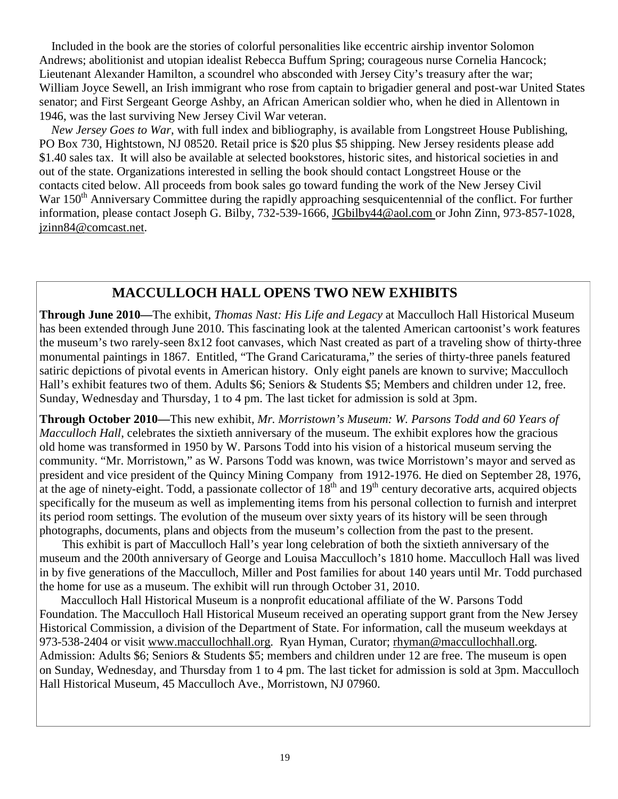Included in the book are the stories of colorful personalities like eccentric airship inventor Solomon Andrews; abolitionist and utopian idealist Rebecca Buffum Spring; courageous nurse Cornelia Hancock; Lieutenant Alexander Hamilton, a scoundrel who absconded with Jersey City's treasury after the war; William Joyce Sewell, an Irish immigrant who rose from captain to brigadier general and post-war United States senator; and First Sergeant George Ashby, an African American soldier who, when he died in Allentown in 1946, was the last surviving New Jersey Civil War veteran.

 *New Jersey Goes to War*, with full index and bibliography, is available from Longstreet House Publishing, PO Box 730, Hightstown, NJ 08520. Retail price is \$20 plus \$5 shipping. New Jersey residents please add \$1.40 sales tax. It will also be available at selected bookstores, historic sites, and historical societies in and out of the state. Organizations interested in selling the book should contact Longstreet House or the contacts cited below. All proceeds from book sales go toward funding the work of the New Jersey Civil War 150<sup>th</sup> Anniversary Committee during the rapidly approaching sesquicentennial of the conflict. For further information, please contact Joseph G. Bilby, 732-539-1666, JGbilby44@aol.com or John Zinn, 973-857-1028, jzinn84@comcast.net.

## **MACCULLOCH HALL OPENS TWO NEW EXHIBITS**

**Through June 2010—**The exhibit, *Thomas Nast: His Life and Legacy* at Macculloch Hall Historical Museum has been extended through June 2010. This fascinating look at the talented American cartoonist's work features the museum's two rarely-seen 8x12 foot canvases, which Nast created as part of a traveling show of thirty-three monumental paintings in 1867. Entitled, "The Grand Caricaturama," the series of thirty-three panels featured satiric depictions of pivotal events in American history. Only eight panels are known to survive; Macculloch Hall's exhibit features two of them. Adults \$6; Seniors & Students \$5; Members and children under 12, free. Sunday, Wednesday and Thursday, 1 to 4 pm. The last ticket for admission is sold at 3pm.

**Through October 2010—**This new exhibit, *Mr. Morristown's Museum: W. Parsons Todd and 60 Years of Macculloch Hall*, celebrates the sixtieth anniversary of the museum. The exhibit explores how the gracious old home was transformed in 1950 by W. Parsons Todd into his vision of a historical museum serving the community. "Mr. Morristown," as W. Parsons Todd was known, was twice Morristown's mayor and served as president and vice president of the Quincy Mining Company from 1912-1976. He died on September 28, 1976, at the age of ninety-eight. Todd, a passionate collector of  $18<sup>th</sup>$  and  $19<sup>th</sup>$  century decorative arts, acquired objects specifically for the museum as well as implementing items from his personal collection to furnish and interpret its period room settings. The evolution of the museum over sixty years of its history will be seen through photographs, documents, plans and objects from the museum's collection from the past to the present.

This exhibit is part of Macculloch Hall's year long celebration of both the sixtieth anniversary of the museum and the 200th anniversary of George and Louisa Macculloch's 1810 home. Macculloch Hall was lived in by five generations of the Macculloch, Miller and Post families for about 140 years until Mr. Todd purchased the home for use as a museum. The exhibit will run through October 31, 2010.

 Macculloch Hall Historical Museum is a nonprofit educational affiliate of the W. Parsons Todd Foundation. The Macculloch Hall Historical Museum received an operating support grant from the New Jersey Historical Commission, a division of the Department of State. For information, call the museum weekdays at 973-538-2404 or visit www.maccullochhall.org. Ryan Hyman, Curator; rhyman@maccullochhall.org. Admission: Adults \$6; Seniors & Students \$5; members and children under 12 are free. The museum is open on Sunday, Wednesday, and Thursday from 1 to 4 pm. The last ticket for admission is sold at 3pm. Macculloch Hall Historical Museum, 45 Macculloch Ave., Morristown, NJ 07960.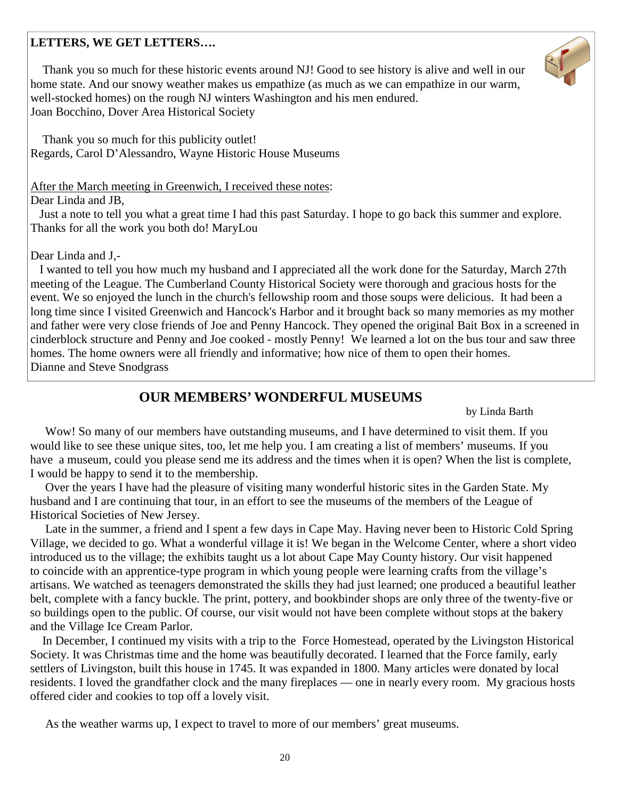#### **LETTERS, WE GET LETTERS….**

 Thank you so much for these historic events around NJ! Good to see history is alive and well in our home state. And our snowy weather makes us empathize (as much as we can empathize in our warm, well-stocked homes) on the rough NJ winters Washington and his men endured. Joan Bocchino, Dover Area Historical Society

 Thank you so much for this publicity outlet! Regards, Carol D'Alessandro, Wayne Historic House Museums

After the March meeting in Greenwich, I received these notes:

Dear Linda and JB,

 Just a note to tell you what a great time I had this past Saturday. I hope to go back this summer and explore. Thanks for all the work you both do! MaryLou

#### Dear Linda and J,-

 I wanted to tell you how much my husband and I appreciated all the work done for the Saturday, March 27th meeting of the League. The Cumberland County Historical Society were thorough and gracious hosts for the event. We so enjoyed the lunch in the church's fellowship room and those soups were delicious. It had been a long time since I visited Greenwich and Hancock's Harbor and it brought back so many memories as my mother and father were very close friends of Joe and Penny Hancock. They opened the original Bait Box in a screened in cinderblock structure and Penny and Joe cooked - mostly Penny! We learned a lot on the bus tour and saw three homes. The home owners were all friendly and informative; how nice of them to open their homes. Dianne and Steve Snodgrass

## **OUR MEMBERS' WONDERFUL MUSEUMS**

by Linda Barth

 Wow! So many of our members have outstanding museums, and I have determined to visit them. If you would like to see these unique sites, too, let me help you. I am creating a list of members' museums. If you have a museum, could you please send me its address and the times when it is open? When the list is complete, I would be happy to send it to the membership.

 Over the years I have had the pleasure of visiting many wonderful historic sites in the Garden State. My husband and I are continuing that tour, in an effort to see the museums of the members of the League of Historical Societies of New Jersey.

 Late in the summer, a friend and I spent a few days in Cape May. Having never been to Historic Cold Spring Village, we decided to go. What a wonderful village it is! We began in the Welcome Center, where a short video introduced us to the village; the exhibits taught us a lot about Cape May County history. Our visit happened to coincide with an apprentice-type program in which young people were learning crafts from the village's artisans. We watched as teenagers demonstrated the skills they had just learned; one produced a beautiful leather belt, complete with a fancy buckle. The print, pottery, and bookbinder shops are only three of the twenty-five or so buildings open to the public. Of course, our visit would not have been complete without stops at the bakery and the Village Ice Cream Parlor.

 In December, I continued my visits with a trip to the Force Homestead, operated by the Livingston Historical Society. It was Christmas time and the home was beautifully decorated. I learned that the Force family, early settlers of Livingston, built this house in 1745. It was expanded in 1800. Many articles were donated by local residents. I loved the grandfather clock and the many fireplaces — one in nearly every room. My gracious hosts offered cider and cookies to top off a lovely visit.

As the weather warms up, I expect to travel to more of our members' great museums.

20

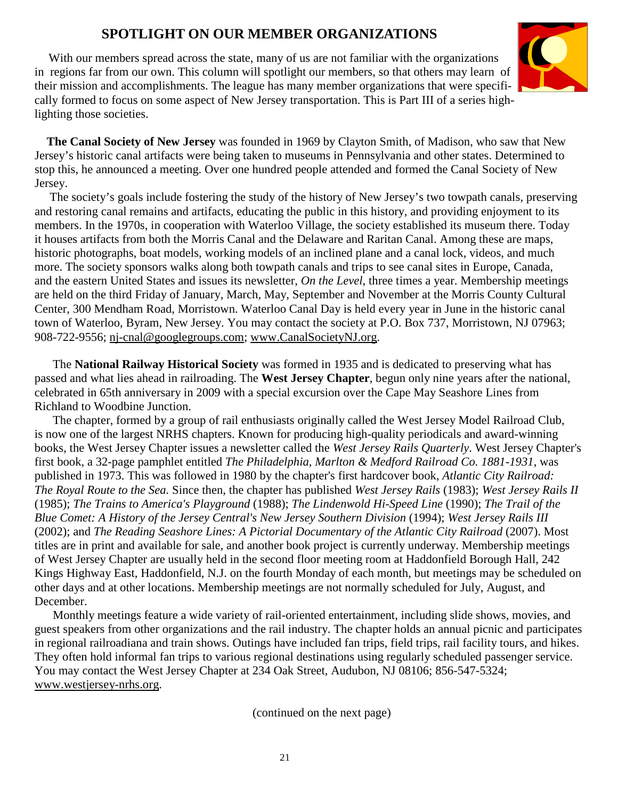## **SPOTLIGHT ON OUR MEMBER ORGANIZATIONS**

With our members spread across the state, many of us are not familiar with the organizations in regions far from our own. This column will spotlight our members, so that others may learn of their mission and accomplishments. The league has many member organizations that were specifically formed to focus on some aspect of New Jersey transportation. This is Part III of a series highlighting those societies.



 **The Canal Society of New Jersey** was founded in 1969 by Clayton Smith, of Madison, who saw that New Jersey's historic canal artifacts were being taken to museums in Pennsylvania and other states. Determined to stop this, he announced a meeting. Over one hundred people attended and formed the Canal Society of New Jersey.

 The society's goals include fostering the study of the history of New Jersey's two towpath canals, preserving and restoring canal remains and artifacts, educating the public in this history, and providing enjoyment to its members. In the 1970s, in cooperation with Waterloo Village, the society established its museum there. Today it houses artifacts from both the Morris Canal and the Delaware and Raritan Canal. Among these are maps, historic photographs, boat models, working models of an inclined plane and a canal lock, videos, and much more. The society sponsors walks along both towpath canals and trips to see canal sites in Europe, Canada, and the eastern United States and issues its newsletter, *On the Level*, three times a year. Membership meetings are held on the third Friday of January, March, May, September and November at the Morris County Cultural Center, 300 Mendham Road, Morristown. Waterloo Canal Day is held every year in June in the historic canal town of Waterloo, Byram, New Jersey. You may contact the society at P.O. Box 737, Morristown, NJ 07963; 908-722-9556; nj-cnal@googlegroups.com; www.CanalSocietyNJ.org.

 The **National Railway Historical Society** was formed in 1935 and is dedicated to preserving what has passed and what lies ahead in railroading. The **West Jersey Chapter**, begun only nine years after the national, celebrated in 65th anniversary in 2009 with a special excursion over the Cape May Seashore Lines from Richland to Woodbine Junction.

 The chapter, formed by a group of rail enthusiasts originally called the West Jersey Model Railroad Club, is now one of the largest NRHS chapters. Known for producing high-quality periodicals and award-winning books, the West Jersey Chapter issues a newsletter called the *West Jersey Rails Quarterly*. West Jersey Chapter's first book, a 32-page pamphlet entitled *The Philadelphia, Marlton & Medford Railroad Co. 1881-1931*, was published in 1973. This was followed in 1980 by the chapter's first hardcover book, *Atlantic City Railroad: The Royal Route to the Sea.* Since then, the chapter has published *West Jersey Rails* (1983); *West Jersey Rails II* (1985); *The Trains to America's Playground* (1988); *The Lindenwold Hi-Speed Line* (1990); *The Trail of the Blue Comet: A History of the Jersey Central's New Jersey Southern Division* (1994); *West Jersey Rails III* (2002); and *The Reading Seashore Lines: A Pictorial Documentary of the Atlantic City Railroad* (2007). Most titles are in print and available for sale, and another book project is currently underway. Membership meetings of West Jersey Chapter are usually held in the second floor meeting room at Haddonfield Borough Hall, 242 Kings Highway East, Haddonfield, N.J. on the fourth Monday of each month, but meetings may be scheduled on other days and at other locations. Membership meetings are not normally scheduled for July, August, and December.

 Monthly meetings feature a wide variety of rail-oriented entertainment, including slide shows, movies, and guest speakers from other organizations and the rail industry. The chapter holds an annual picnic and participates in regional railroadiana and train shows. Outings have included fan trips, field trips, rail facility tours, and hikes. They often hold informal fan trips to various regional destinations using regularly scheduled passenger service. You may contact the West Jersey Chapter at 234 Oak Street, Audubon, NJ 08106; 856-547-5324; www.westjersey-nrhs.org.

(continued on the next page)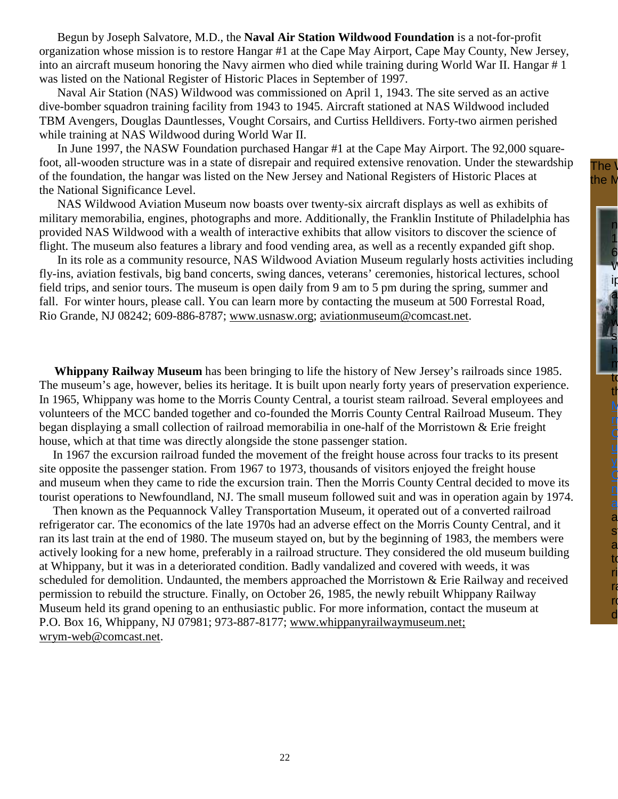Begun by Joseph Salvatore, M.D., the **Naval Air Station Wildwood Foundation** is a not-for-profit organization whose mission is to restore Hangar #1 at the Cape May Airport, Cape May County, New Jersey, into an aircraft museum honoring the Navy airmen who died while training during World War II. Hangar # 1 was listed on the National Register of Historic Places in September of 1997.

 Naval Air Station (NAS) Wildwood was commissioned on April 1, 1943. The site served as an active dive-bomber squadron training facility from 1943 to 1945. Aircraft stationed at NAS Wildwood included TBM Avengers, Douglas Dauntlesses, Vought Corsairs, and Curtiss Helldivers. Forty-two airmen perished while training at NAS Wildwood during World War II.

 In June 1997, the NASW Foundation purchased Hangar #1 at the Cape May Airport. The 92,000 squarefoot, all-wooden structure was in a state of disrepair and required extensive renovation. Under the stewardship of the foundation, the hangar was listed on the New Jersey and National Registers of Historic Places at the National Significance Level.

 NAS Wildwood Aviation Museum now boasts over twenty-six aircraft displays as well as exhibits of military memorabilia, engines, photographs and more. Additionally, the Franklin Institute of Philadelphia has provided NAS Wildwood with a wealth of interactive exhibits that allow visitors to discover the science of flight. The museum also features a library and food vending area, as well as a recently expanded gift shop.

 In its role as a community resource, NAS Wildwood Aviation Museum regularly hosts activities including fly-ins, aviation festivals, big band concerts, swing dances, veterans' ceremonies, historical lectures, school field trips, and senior tours. The museum is open daily from 9 am to 5 pm during the spring, summer and fall. For winter hours, please call. You can learn more by contacting the museum at 500 Forrestal Road, Rio Grande, NJ 08242; 609-886-8787; www.usnasw.org; aviationmuseum@comcast.net.

 **Whippany Railway Museum** has been bringing to life the history of New Jersey's railroads since 1985. The museum's age, however, belies its heritage. It is built upon nearly forty years of preservation experience. In 1965, Whippany was home to the Morris County Central, a tourist steam railroad. Several employees and volunteers of the MCC banded together and co-founded the Morris County Central Railroad Museum. They began displaying a small collection of railroad memorabilia in one-half of the Morristown & Erie freight house, which at that time was directly alongside the stone passenger station.

 In 1967 the excursion railroad funded the movement of the freight house across four tracks to its present site opposite the passenger station. From 1967 to 1973, thousands of visitors enjoyed the freight house and museum when they came to ride the excursion train. Then the Morris County Central decided to move its tourist operations to Newfoundland, NJ. The small museum followed suit and was in operation again by 1974.

 Then known as the Pequannock Valley Transportation Museum, it operated out of a converted railroad refrigerator car. The economics of the late 1970s had an adverse effect on the Morris County Central, and it ran its last train at the end of 1980. The museum stayed on, but by the beginning of 1983, the members were actively looking for a new home, preferably in a railroad structure. They considered the old museum building at Whippany, but it was in a deteriorated condition. Badly vandalized and covered with weeds, it was scheduled for demolition. Undaunted, the members approached the Morristown & Erie Railway and received permission to rebuild the structure. Finally, on October 26, 1985, the newly rebuilt Whippany Railway Museum held its grand opening to an enthusiastic public. For more information, contact the museum at P.O. Box 16, Whippany, NJ 07981; 973-887-8177; www.whippanyrailwaymuseum.net; wrym-web@comcast.net.

The  $\mathcal V$ the M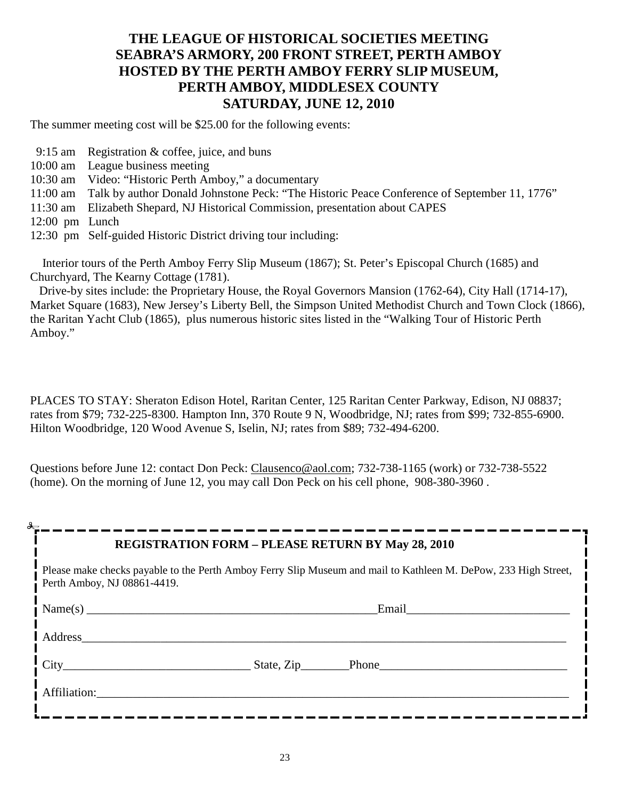## **THE LEAGUE OF HISTORICAL SOCIETIES MEETING SEABRA'S ARMORY, 200 FRONT STREET, PERTH AMBOY HOSTED BY THE PERTH AMBOY FERRY SLIP MUSEUM, PERTH AMBOY, MIDDLESEX COUNTY SATURDAY, JUNE 12, 2010**

The summer meeting cost will be \$25.00 for the following events:

- 9:15 am Registration & coffee, juice, and buns
- 10:00 am League business meeting
- 10:30 am Video: "Historic Perth Amboy," a documentary
- 11:00 am Talk by author Donald Johnstone Peck: "The Historic Peace Conference of September 11, 1776"
- 11:30 am Elizabeth Shepard, NJ Historical Commission, presentation about CAPES
- 12:00 pm Lunch
- 12:30 pm Self-guided Historic District driving tour including:

 Interior tours of the Perth Amboy Ferry Slip Museum (1867); St. Peter's Episcopal Church (1685) and Churchyard, The Kearny Cottage (1781).

 Drive-by sites include: the Proprietary House, the Royal Governors Mansion (1762-64), City Hall (1714-17), Market Square (1683), New Jersey's Liberty Bell, the Simpson United Methodist Church and Town Clock (1866), the Raritan Yacht Club (1865), plus numerous historic sites listed in the "Walking Tour of Historic Perth Amboy."

PLACES TO STAY: Sheraton Edison Hotel, Raritan Center, 125 Raritan Center Parkway, Edison, NJ 08837; rates from \$79; 732-225-8300. Hampton Inn, 370 Route 9 N, Woodbridge, NJ; rates from \$99; 732-855-6900. Hilton Woodbridge, 120 Wood Avenue S, Iselin, NJ; rates from \$89; 732-494-6200.

Questions before June 12: contact Don Peck: Clausenco@aol.com; 732-738-1165 (work) or 732-738-5522 (home). On the morning of June 12, you may call Don Peck on his cell phone, 908-380-3960 .

| ♣                                                                                                                                              | <b>REGISTRATION FORM - PLEASE RETURN BY May 28, 2010</b> |       |  |  |
|------------------------------------------------------------------------------------------------------------------------------------------------|----------------------------------------------------------|-------|--|--|
| Please make checks payable to the Perth Amboy Ferry Slip Museum and mail to Kathleen M. DePow, 233 High Street,<br>Perth Amboy, NJ 08861-4419. |                                                          |       |  |  |
|                                                                                                                                                |                                                          | Email |  |  |
| Address                                                                                                                                        |                                                          |       |  |  |
|                                                                                                                                                |                                                          |       |  |  |
| Affiliation: 1997                                                                                                                              |                                                          |       |  |  |
|                                                                                                                                                |                                                          |       |  |  |